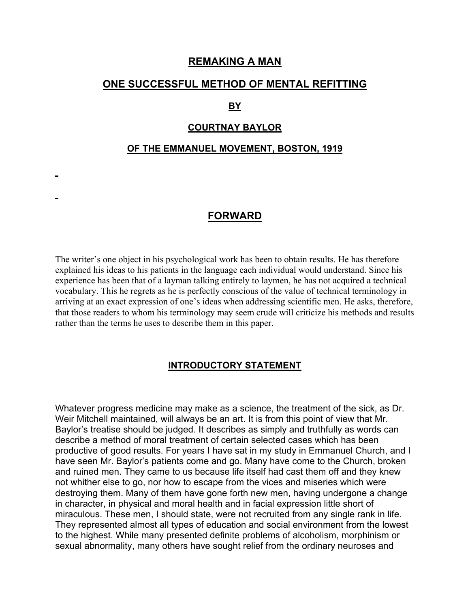### **REMAKING A MAN**

### **ONE SUCCESSFUL METHOD OF MENTAL REFITTING**

#### **BY**

#### **COURTNAY BAYLOR**

#### **OF THE EMMANUEL MOVEMENT, BOSTON, 1919**

## **FORWARD**

The writer's one object in his psychological work has been to obtain results. He has therefore explained his ideas to his patients in the language each individual would understand. Since his experience has been that of a layman talking entirely to laymen, he has not acquired a technical vocabulary. This he regrets as he is perfectly conscious of the value of technical terminology in arriving at an exact expression of one's ideas when addressing scientific men. He asks, therefore, that those readers to whom his terminology may seem crude will criticize his methods and results rather than the terms he uses to describe them in this paper.

#### **INTRODUCTORY STATEMENT**

Whatever progress medicine may make as a science, the treatment of the sick, as Dr. Weir Mitchell maintained, will always be an art. It is from this point of view that Mr. Baylor's treatise should be judged. It describes as simply and truthfully as words can describe a method of moral treatment of certain selected cases which has been productive of good results. For years I have sat in my study in Emmanuel Church, and I have seen Mr. Baylor's patients come and go. Many have come to the Church, broken and ruined men. They came to us because life itself had cast them off and they knew not whither else to go, nor how to escape from the vices and miseries which were destroying them. Many of them have gone forth new men, having undergone a change in character, in physical and moral health and in facial expression little short of miraculous. These men, I should state, were not recruited from any single rank in life. They represented almost all types of education and social environment from the lowest to the highest. While many presented definite problems of alcoholism, morphinism or sexual abnormality, many others have sought relief from the ordinary neuroses and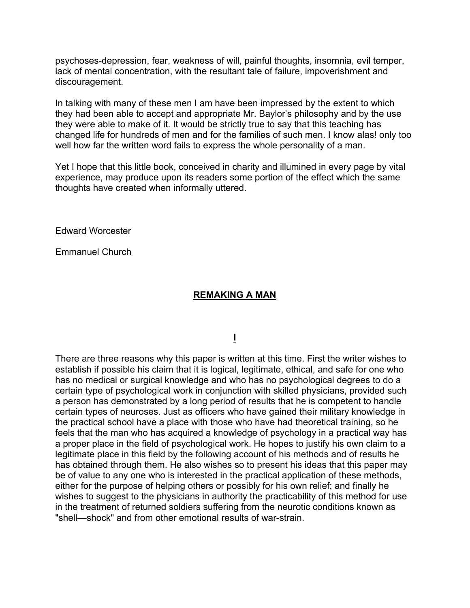psychoses-depression, fear, weakness of will, painful thoughts, insomnia, evil temper, lack of mental concentration, with the resultant tale of failure, impoverishment and discouragement.

In talking with many of these men I am have been impressed by the extent to which they had been able to accept and appropriate Mr. Baylor's philosophy and by the use they were able to make of it. It would be strictly true to say that this teaching has changed life for hundreds of men and for the families of such men. I know alas! only too well how far the written word fails to express the whole personality of a man.

Yet I hope that this little book, conceived in charity and illumined in every page by vital experience, may produce upon its readers some portion of the effect which the same thoughts have created when informally uttered.

Edward Worcester

Emmanuel Church

### **REMAKING A MAN**

**I**

There are three reasons why this paper is written at this time. First the writer wishes to establish if possible his claim that it is logical, legitimate, ethical, and safe for one who has no medical or surgical knowledge and who has no psychological degrees to do a certain type of psychological work in conjunction with skilled physicians, provided such a person has demonstrated by a long period of results that he is competent to handle certain types of neuroses. Just as officers who have gained their military knowledge in the practical school have a place with those who have had theoretical training, so he feels that the man who has acquired a knowledge of psychology in a practical way has a proper place in the field of psychological work. He hopes to justify his own claim to a legitimate place in this field by the following account of his methods and of results he has obtained through them. He also wishes so to present his ideas that this paper may be of value to any one who is interested in the practical application of these methods, either for the purpose of helping others or possibly for his own relief; and finally he wishes to suggest to the physicians in authority the practicability of this method for use in the treatment of returned soldiers suffering from the neurotic conditions known as "shell—shock" and from other emotional results of war-strain.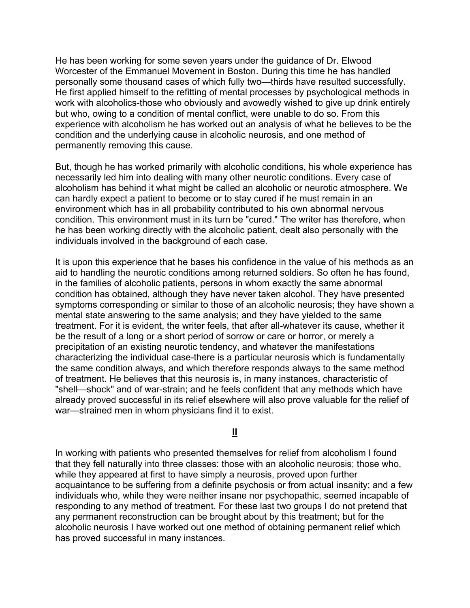He has been working for some seven years under the guidance of Dr. Elwood Worcester of the Emmanuel Movement in Boston. During this time he has handled personally some thousand cases of which fully two—thirds have resulted successfully. He first applied himself to the refitting of mental processes by psychological methods in work with alcoholics-those who obviously and avowedly wished to give up drink entirely but who, owing to a condition of mental conflict, were unable to do so. From this experience with alcoholism he has worked out an analysis of what he believes to be the condition and the underlying cause in alcoholic neurosis, and one method of permanently removing this cause.

But, though he has worked primarily with alcoholic conditions, his whole experience has necessarily led him into dealing with many other neurotic conditions. Every case of alcoholism has behind it what might be called an alcoholic or neurotic atmosphere. We can hardly expect a patient to become or to stay cured if he must remain in an environment which has in all probability contributed to his own abnormal nervous condition. This environment must in its turn be "cured." The writer has therefore, when he has been working directly with the alcoholic patient, dealt also personally with the individuals involved in the background of each case.

It is upon this experience that he bases his confidence in the value of his methods as an aid to handling the neurotic conditions among returned soldiers. So often he has found, in the families of alcoholic patients, persons in whom exactly the same abnormal condition has obtained, although they have never taken alcohol. They have presented symptoms corresponding or similar to those of an alcoholic neurosis; they have shown a mental state answering to the same analysis; and they have yielded to the same treatment. For it is evident, the writer feels, that after all-whatever its cause, whether it be the result of a long or a short period of sorrow or care or horror, or merely a precipitation of an existing neurotic tendency, and whatever the manifestations characterizing the individual case-there is a particular neurosis which is fundamentally the same condition always, and which therefore responds always to the same method of treatment. He believes that this neurosis is, in many instances, characteristic of "shell—shock" and of war-strain; and he feels confident that any methods which have already proved successful in its relief elsewhere will also prove valuable for the relief of war—strained men in whom physicians find it to exist.

## **II**

In working with patients who presented themselves for relief from alcoholism I found that they fell naturally into three classes: those with an alcoholic neurosis; those who, while they appeared at first to have simply a neurosis, proved upon further acquaintance to be suffering from a definite psychosis or from actual insanity; and a few individuals who, while they were neither insane nor psychopathic, seemed incapable of responding to any method of treatment. For these last two groups I do not pretend that any permanent reconstruction can be brought about by this treatment; but for the alcoholic neurosis I have worked out one method of obtaining permanent relief which has proved successful in many instances.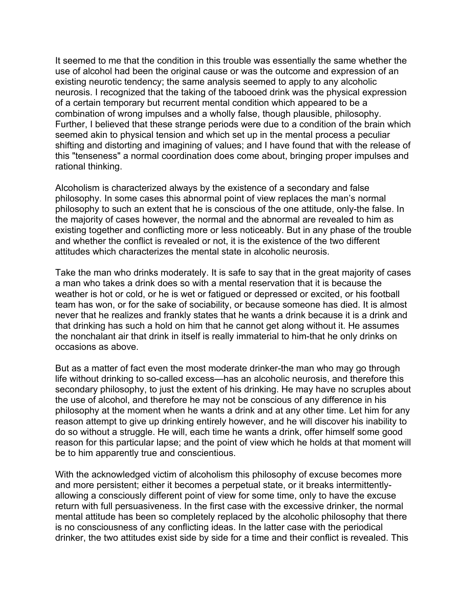It seemed to me that the condition in this trouble was essentially the same whether the use of alcohol had been the original cause or was the outcome and expression of an existing neurotic tendency; the same analysis seemed to apply to any alcoholic neurosis. I recognized that the taking of the tabooed drink was the physical expression of a certain temporary but recurrent mental condition which appeared to be a combination of wrong impulses and a wholly false, though plausible, philosophy. Further, I believed that these strange periods were due to a condition of the brain which seemed akin to physical tension and which set up in the mental process a peculiar shifting and distorting and imagining of values; and I have found that with the release of this "tenseness" a normal coordination does come about, bringing proper impulses and rational thinking.

Alcoholism is characterized always by the existence of a secondary and false philosophy. In some cases this abnormal point of view replaces the man's normal philosophy to such an extent that he is conscious of the one attitude, only-the false. In the majority of cases however, the normal and the abnormal are revealed to him as existing together and conflicting more or less noticeably. But in any phase of the trouble and whether the conflict is revealed or not, it is the existence of the two different attitudes which characterizes the mental state in alcoholic neurosis.

Take the man who drinks moderately. It is safe to say that in the great majority of cases a man who takes a drink does so with a mental reservation that it is because the weather is hot or cold, or he is wet or fatigued or depressed or excited, or his football team has won, or for the sake of sociability, or because someone has died. It is almost never that he realizes and frankly states that he wants a drink because it is a drink and that drinking has such a hold on him that he cannot get along without it. He assumes the nonchalant air that drink in itself is really immaterial to him-that he only drinks on occasions as above.

But as a matter of fact even the most moderate drinker-the man who may go through life without drinking to so-called excess—has an alcoholic neurosis, and therefore this secondary philosophy, to just the extent of his drinking. He may have no scruples about the use of alcohol, and therefore he may not be conscious of any difference in his philosophy at the moment when he wants a drink and at any other time. Let him for any reason attempt to give up drinking entirely however, and he will discover his inability to do so without a struggle. He will, each time he wants a drink, offer himself some good reason for this particular lapse; and the point of view which he holds at that moment will be to him apparently true and conscientious.

With the acknowledged victim of alcoholism this philosophy of excuse becomes more and more persistent; either it becomes a perpetual state, or it breaks intermittentlyallowing a consciously different point of view for some time, only to have the excuse return with full persuasiveness. In the first case with the excessive drinker, the normal mental attitude has been so completely replaced by the alcoholic philosophy that there is no consciousness of any conflicting ideas. In the latter case with the periodical drinker, the two attitudes exist side by side for a time and their conflict is revealed. This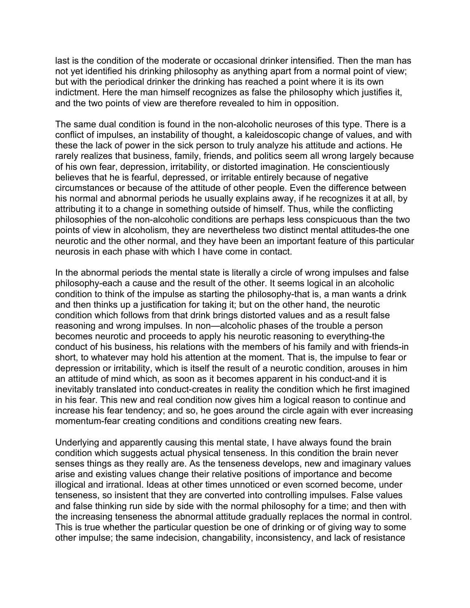last is the condition of the moderate or occasional drinker intensified. Then the man has not yet identified his drinking philosophy as anything apart from a normal point of view; but with the periodical drinker the drinking has reached a point where it is its own indictment. Here the man himself recognizes as false the philosophy which justifies it, and the two points of view are therefore revealed to him in opposition.

The same dual condition is found in the non-alcoholic neuroses of this type. There is a conflict of impulses, an instability of thought, a kaleidoscopic change of values, and with these the lack of power in the sick person to truly analyze his attitude and actions. He rarely realizes that business, family, friends, and politics seem all wrong largely because of his own fear, depression, irritability, or distorted imagination. He conscientiously believes that he is fearful, depressed, or irritable entirely because of negative circumstances or because of the attitude of other people. Even the difference between his normal and abnormal periods he usually explains away, if he recognizes it at all, by attributing it to a change in something outside of himself. Thus, while the conflicting philosophies of the non-alcoholic conditions are perhaps less conspicuous than the two points of view in alcoholism, they are nevertheless two distinct mental attitudes-the one neurotic and the other normal, and they have been an important feature of this particular neurosis in each phase with which I have come in contact.

In the abnormal periods the mental state is literally a circle of wrong impulses and false philosophy-each a cause and the result of the other. It seems logical in an alcoholic condition to think of the impulse as starting the philosophy-that is, a man wants a drink and then thinks up a justification for taking it; but on the other hand, the neurotic condition which follows from that drink brings distorted values and as a result false reasoning and wrong impulses. In non—alcoholic phases of the trouble a person becomes neurotic and proceeds to apply his neurotic reasoning to everything-the conduct of his business, his relations with the members of his family and with friends-in short, to whatever may hold his attention at the moment. That is, the impulse to fear or depression or irritability, which is itself the result of a neurotic condition, arouses in him an attitude of mind which, as soon as it becomes apparent in his conduct-and it is inevitably translated into conduct-creates in reality the condition which he first imagined in his fear. This new and real condition now gives him a logical reason to continue and increase his fear tendency; and so, he goes around the circle again with ever increasing momentum-fear creating conditions and conditions creating new fears.

Underlying and apparently causing this mental state, I have always found the brain condition which suggests actual physical tenseness. In this condition the brain never senses things as they really are. As the tenseness develops, new and imaginary values arise and existing values change their relative positions of importance and become illogical and irrational. Ideas at other times unnoticed or even scorned become, under tenseness, so insistent that they are converted into controlling impulses. False values and false thinking run side by side with the normal philosophy for a time; and then with the increasing tenseness the abnormal attitude gradually replaces the normal in control. This is true whether the particular question be one of drinking or of giving way to some other impulse; the same indecision, changability, inconsistency, and lack of resistance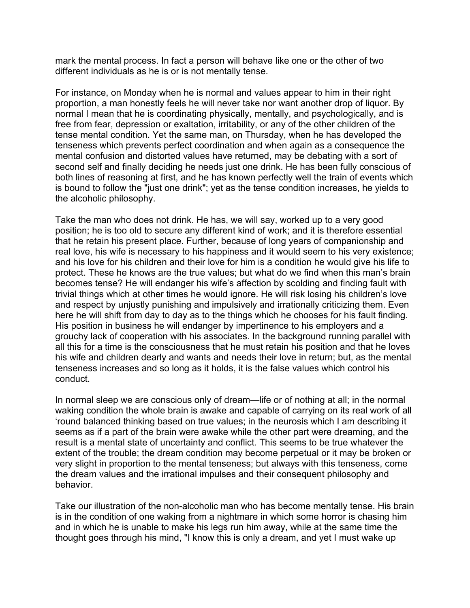mark the mental process. In fact a person will behave like one or the other of two different individuals as he is or is not mentally tense.

For instance, on Monday when he is normal and values appear to him in their right proportion, a man honestly feels he will never take nor want another drop of liquor. By normal I mean that he is coordinating physically, mentally, and psychologically, and is free from fear, depression or exaltation, irritability, or any of the other children of the tense mental condition. Yet the same man, on Thursday, when he has developed the tenseness which prevents perfect coordination and when again as a consequence the mental confusion and distorted values have returned, may be debating with a sort of second self and finally deciding he needs just one drink. He has been fully conscious of both lines of reasoning at first, and he has known perfectly well the train of events which is bound to follow the "just one drink"; yet as the tense condition increases, he yields to the alcoholic philosophy.

Take the man who does not drink. He has, we will say, worked up to a very good position; he is too old to secure any different kind of work; and it is therefore essential that he retain his present place. Further, because of long years of companionship and real love, his wife is necessary to his happiness and it would seem to his very existence; and his love for his children and their love for him is a condition he would give his life to protect. These he knows are the true values; but what do we find when this man's brain becomes tense? He will endanger his wife's affection by scolding and finding fault with trivial things which at other times he would ignore. He will risk losing his children's love and respect by unjustly punishing and impulsively and irrationally criticizing them. Even here he will shift from day to day as to the things which he chooses for his fault finding. His position in business he will endanger by impertinence to his employers and a grouchy lack of cooperation with his associates. In the background running parallel with all this for a time is the consciousness that he must retain his position and that he loves his wife and children dearly and wants and needs their love in return; but, as the mental tenseness increases and so long as it holds, it is the false values which control his conduct.

In normal sleep we are conscious only of dream—life or of nothing at all; in the normal waking condition the whole brain is awake and capable of carrying on its real work of all 'round balanced thinking based on true values; in the neurosis which I am describing it seems as if a part of the brain were awake while the other part were dreaming, and the result is a mental state of uncertainty and conflict. This seems to be true whatever the extent of the trouble; the dream condition may become perpetual or it may be broken or very slight in proportion to the mental tenseness; but always with this tenseness, come the dream values and the irrational impulses and their consequent philosophy and behavior.

Take our illustration of the non-alcoholic man who has become mentally tense. His brain is in the condition of one waking from a nightmare in which some horror is chasing him and in which he is unable to make his legs run him away, while at the same time the thought goes through his mind, "I know this is only a dream, and yet I must wake up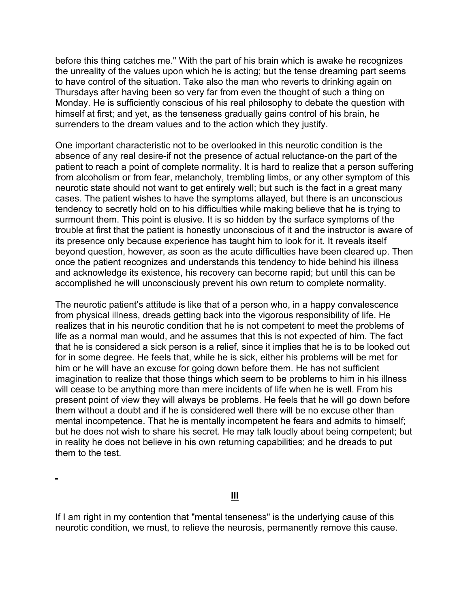before this thing catches me." With the part of his brain which is awake he recognizes the unreality of the values upon which he is acting; but the tense dreaming part seems to have control of the situation. Take also the man who reverts to drinking again on Thursdays after having been so very far from even the thought of such a thing on Monday. He is sufficiently conscious of his real philosophy to debate the question with himself at first; and yet, as the tenseness gradually gains control of his brain, he surrenders to the dream values and to the action which they justify.

One important characteristic not to be overlooked in this neurotic condition is the absence of any real desire-if not the presence of actual reluctance-on the part of the patient to reach a point of complete normality. It is hard to realize that a person suffering from alcoholism or from fear, melancholy, trembling limbs, or any other symptom of this neurotic state should not want to get entirely well; but such is the fact in a great many cases. The patient wishes to have the symptoms allayed, but there is an unconscious tendency to secretly hold on to his difficulties while making believe that he is trying to surmount them. This point is elusive. It is so hidden by the surface symptoms of the trouble at first that the patient is honestly unconscious of it and the instructor is aware of its presence only because experience has taught him to look for it. It reveals itself beyond question, however, as soon as the acute difficulties have been cleared up. Then once the patient recognizes and understands this tendency to hide behind his illness and acknowledge its existence, his recovery can become rapid; but until this can be accomplished he will unconsciously prevent his own return to complete normality.

The neurotic patient's attitude is like that of a person who, in a happy convalescence from physical illness, dreads getting back into the vigorous responsibility of life. He realizes that in his neurotic condition that he is not competent to meet the problems of life as a normal man would, and he assumes that this is not expected of him. The fact that he is considered a sick person is a relief, since it implies that he is to be looked out for in some degree. He feels that, while he is sick, either his problems will be met for him or he will have an excuse for going down before them. He has not sufficient imagination to realize that those things which seem to be problems to him in his illness will cease to be anything more than mere incidents of life when he is well. From his present point of view they will always be problems. He feels that he will go down before them without a doubt and if he is considered well there will be no excuse other than mental incompetence. That he is mentally incompetent he fears and admits to himself; but he does not wish to share his secret. He may talk loudly about being competent; but in reality he does not believe in his own returning capabilities; and he dreads to put them to the test.

If I am right in my contention that "mental tenseness" is the underlying cause of this neurotic condition, we must, to relieve the neurosis, permanently remove this cause.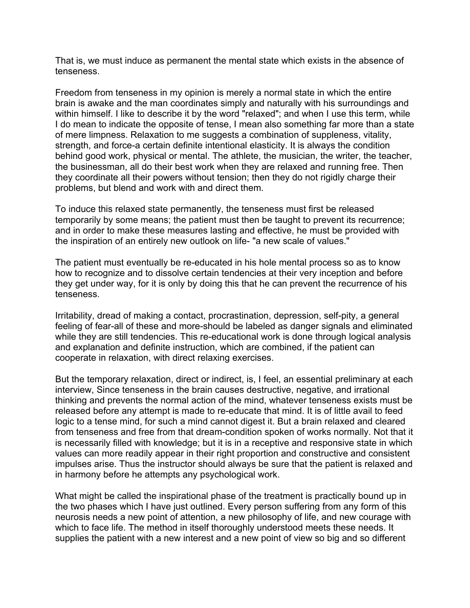That is, we must induce as permanent the mental state which exists in the absence of tenseness.

Freedom from tenseness in my opinion is merely a normal state in which the entire brain is awake and the man coordinates simply and naturally with his surroundings and within himself. I like to describe it by the word "relaxed"; and when I use this term, while I do mean to indicate the opposite of tense, I mean also something far more than a state of mere limpness. Relaxation to me suggests a combination of suppleness, vitality, strength, and force-a certain definite intentional elasticity. It is always the condition behind good work, physical or mental. The athlete, the musician, the writer, the teacher, the businessman, all do their best work when they are relaxed and running free. Then they coordinate all their powers without tension; then they do not rigidly charge their problems, but blend and work with and direct them.

To induce this relaxed state permanently, the tenseness must first be released temporarily by some means; the patient must then be taught to prevent its recurrence; and in order to make these measures lasting and effective, he must be provided with the inspiration of an entirely new outlook on life- "a new scale of values."

The patient must eventually be re-educated in his hole mental process so as to know how to recognize and to dissolve certain tendencies at their very inception and before they get under way, for it is only by doing this that he can prevent the recurrence of his tenseness.

Irritability, dread of making a contact, procrastination, depression, self-pity, a general feeling of fear-all of these and more-should be labeled as danger signals and eliminated while they are still tendencies. This re-educational work is done through logical analysis and explanation and definite instruction, which are combined, if the patient can cooperate in relaxation, with direct relaxing exercises.

But the temporary relaxation, direct or indirect, is, I feel, an essential preliminary at each interview, Since tenseness in the brain causes destructive, negative, and irrational thinking and prevents the normal action of the mind, whatever tenseness exists must be released before any attempt is made to re-educate that mind. It is of little avail to feed logic to a tense mind, for such a mind cannot digest it. But a brain relaxed and cleared from tenseness and free from that dream-condition spoken of works normally. Not that it is necessarily filled with knowledge; but it is in a receptive and responsive state in which values can more readily appear in their right proportion and constructive and consistent impulses arise. Thus the instructor should always be sure that the patient is relaxed and in harmony before he attempts any psychological work.

What might be called the inspirational phase of the treatment is practically bound up in the two phases which I have just outlined. Every person suffering from any form of this neurosis needs a new point of attention, a new philosophy of life, and new courage with which to face life. The method in itself thoroughly understood meets these needs. It supplies the patient with a new interest and a new point of view so big and so different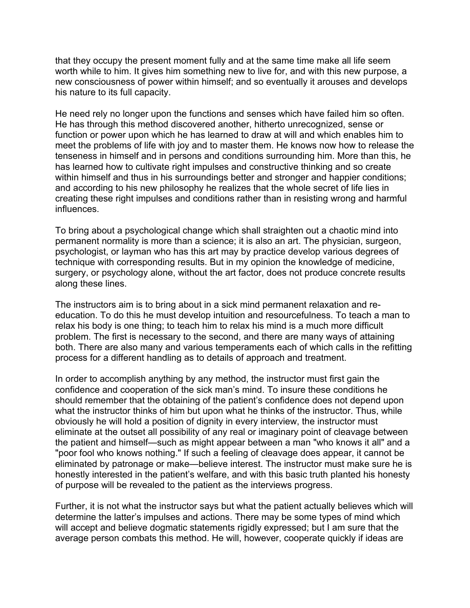that they occupy the present moment fully and at the same time make all life seem worth while to him. It gives him something new to live for, and with this new purpose, a new consciousness of power within himself; and so eventually it arouses and develops his nature to its full capacity.

He need rely no longer upon the functions and senses which have failed him so often. He has through this method discovered another, hitherto unrecognized, sense or function or power upon which he has learned to draw at will and which enables him to meet the problems of life with joy and to master them. He knows now how to release the tenseness in himself and in persons and conditions surrounding him. More than this, he has learned how to cultivate right impulses and constructive thinking and so create within himself and thus in his surroundings better and stronger and happier conditions; and according to his new philosophy he realizes that the whole secret of life lies in creating these right impulses and conditions rather than in resisting wrong and harmful influences.

To bring about a psychological change which shall straighten out a chaotic mind into permanent normality is more than a science; it is also an art. The physician, surgeon, psychologist, or layman who has this art may by practice develop various degrees of technique with corresponding results. But in my opinion the knowledge of medicine, surgery, or psychology alone, without the art factor, does not produce concrete results along these lines.

The instructors aim is to bring about in a sick mind permanent relaxation and reeducation. To do this he must develop intuition and resourcefulness. To teach a man to relax his body is one thing; to teach him to relax his mind is a much more difficult problem. The first is necessary to the second, and there are many ways of attaining both. There are also many and various temperaments each of which calls in the refitting process for a different handling as to details of approach and treatment.

In order to accomplish anything by any method, the instructor must first gain the confidence and cooperation of the sick man's mind. To insure these conditions he should remember that the obtaining of the patient's confidence does not depend upon what the instructor thinks of him but upon what he thinks of the instructor. Thus, while obviously he will hold a position of dignity in every interview, the instructor must eliminate at the outset all possibility of any real or imaginary point of cleavage between the patient and himself—such as might appear between a man "who knows it all" and a "poor fool who knows nothing." If such a feeling of cleavage does appear, it cannot be eliminated by patronage or make—believe interest. The instructor must make sure he is honestly interested in the patient's welfare, and with this basic truth planted his honesty of purpose will be revealed to the patient as the interviews progress.

Further, it is not what the instructor says but what the patient actually believes which will determine the latter's impulses and actions. There may be some types of mind which will accept and believe dogmatic statements rigidly expressed; but I am sure that the average person combats this method. He will, however, cooperate quickly if ideas are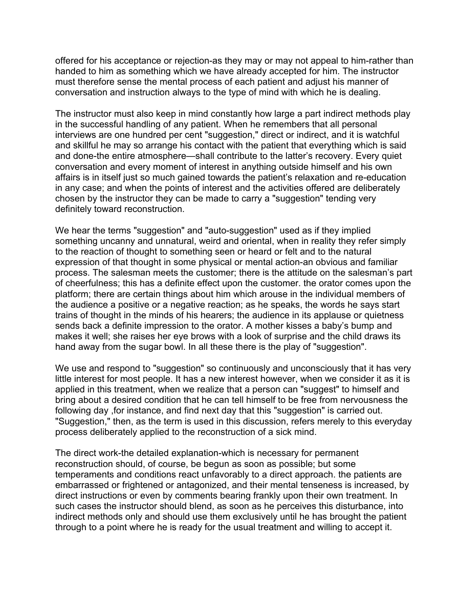offered for his acceptance or rejection-as they may or may not appeal to him-rather than handed to him as something which we have already accepted for him. The instructor must therefore sense the mental process of each patient and adjust his manner of conversation and instruction always to the type of mind with which he is dealing.

The instructor must also keep in mind constantly how large a part indirect methods play in the successful handling of any patient. When he remembers that all personal interviews are one hundred per cent "suggestion," direct or indirect, and it is watchful and skillful he may so arrange his contact with the patient that everything which is said and done-the entire atmosphere—shall contribute to the latter's recovery. Every quiet conversation and every moment of interest in anything outside himself and his own affairs is in itself just so much gained towards the patient's relaxation and re-education in any case; and when the points of interest and the activities offered are deliberately chosen by the instructor they can be made to carry a "suggestion" tending very definitely toward reconstruction.

We hear the terms "suggestion" and "auto-suggestion" used as if they implied something uncanny and unnatural, weird and oriental, when in reality they refer simply to the reaction of thought to something seen or heard or felt and to the natural expression of that thought in some physical or mental action-an obvious and familiar process. The salesman meets the customer; there is the attitude on the salesman's part of cheerfulness; this has a definite effect upon the customer. the orator comes upon the platform; there are certain things about him which arouse in the individual members of the audience a positive or a negative reaction; as he speaks, the words he says start trains of thought in the minds of his hearers; the audience in its applause or quietness sends back a definite impression to the orator. A mother kisses a baby's bump and makes it well; she raises her eye brows with a look of surprise and the child draws its hand away from the sugar bowl. In all these there is the play of "suggestion".

We use and respond to "suggestion" so continuously and unconsciously that it has very little interest for most people. It has a new interest however, when we consider it as it is applied in this treatment, when we realize that a person can "suggest" to himself and bring about a desired condition that he can tell himself to be free from nervousness the following day ,for instance, and find next day that this "suggestion" is carried out. "Suggestion," then, as the term is used in this discussion, refers merely to this everyday process deliberately applied to the reconstruction of a sick mind.

The direct work-the detailed explanation-which is necessary for permanent reconstruction should, of course, be begun as soon as possible; but some temperaments and conditions react unfavorably to a direct approach. the patients are embarrassed or frightened or antagonized, and their mental tenseness is increased, by direct instructions or even by comments bearing frankly upon their own treatment. In such cases the instructor should blend, as soon as he perceives this disturbance, into indirect methods only and should use them exclusively until he has brought the patient through to a point where he is ready for the usual treatment and willing to accept it.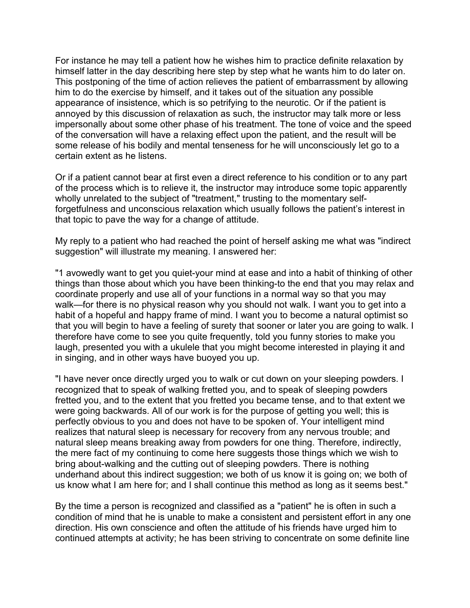For instance he may tell a patient how he wishes him to practice definite relaxation by himself latter in the day describing here step by step what he wants him to do later on. This postponing of the time of action relieves the patient of embarrassment by allowing him to do the exercise by himself, and it takes out of the situation any possible appearance of insistence, which is so petrifying to the neurotic. Or if the patient is annoyed by this discussion of relaxation as such, the instructor may talk more or less impersonally about some other phase of his treatment. The tone of voice and the speed of the conversation will have a relaxing effect upon the patient, and the result will be some release of his bodily and mental tenseness for he will unconsciously let go to a certain extent as he listens.

Or if a patient cannot bear at first even a direct reference to his condition or to any part of the process which is to relieve it, the instructor may introduce some topic apparently wholly unrelated to the subject of "treatment," trusting to the momentary selfforgetfulness and unconscious relaxation which usually follows the patient's interest in that topic to pave the way for a change of attitude.

My reply to a patient who had reached the point of herself asking me what was "indirect suggestion" will illustrate my meaning. I answered her:

"1 avowedly want to get you quiet-your mind at ease and into a habit of thinking of other things than those about which you have been thinking-to the end that you may relax and coordinate properly and use all of your functions in a normal way so that you may walk—for there is no physical reason why you should not walk. I want you to get into a habit of a hopeful and happy frame of mind. I want you to become a natural optimist so that you will begin to have a feeling of surety that sooner or later you are going to walk. I therefore have come to see you quite frequently, told you funny stories to make you laugh, presented you with a ukulele that you might become interested in playing it and in singing, and in other ways have buoyed you up.

"I have never once directly urged you to walk or cut down on your sleeping powders. I recognized that to speak of walking fretted you, and to speak of sleeping powders fretted you, and to the extent that you fretted you became tense, and to that extent we were going backwards. All of our work is for the purpose of getting you well; this is perfectly obvious to you and does not have to be spoken of. Your intelligent mind realizes that natural sleep is necessary for recovery from any nervous trouble; and natural sleep means breaking away from powders for one thing. Therefore, indirectly, the mere fact of my continuing to come here suggests those things which we wish to bring about-walking and the cutting out of sleeping powders. There is nothing underhand about this indirect suggestion; we both of us know it is going on; we both of us know what I am here for; and I shall continue this method as long as it seems best."

By the time a person is recognized and classified as a "patient" he is often in such a condition of mind that he is unable to make a consistent and persistent effort in any one direction. His own conscience and often the attitude of his friends have urged him to continued attempts at activity; he has been striving to concentrate on some definite line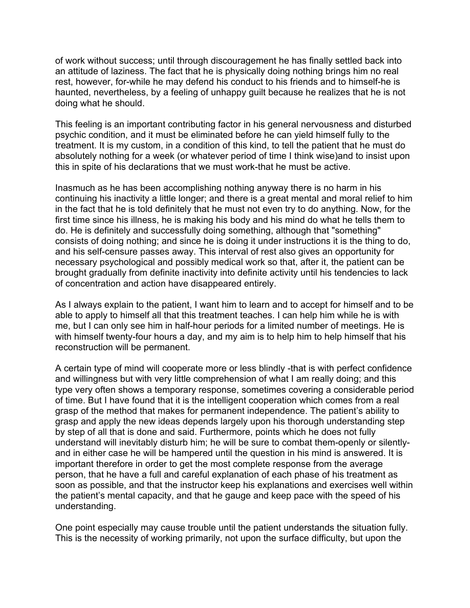of work without success; until through discouragement he has finally settled back into an attitude of laziness. The fact that he is physically doing nothing brings him no real rest, however, for-while he may defend his conduct to his friends and to himself-he is haunted, nevertheless, by a feeling of unhappy guilt because he realizes that he is not doing what he should.

This feeling is an important contributing factor in his general nervousness and disturbed psychic condition, and it must be eliminated before he can yield himself fully to the treatment. It is my custom, in a condition of this kind, to tell the patient that he must do absolutely nothing for a week (or whatever period of time I think wise)and to insist upon this in spite of his declarations that we must work-that he must be active.

Inasmuch as he has been accomplishing nothing anyway there is no harm in his continuing his inactivity a little longer; and there is a great mental and moral relief to him in the fact that he is told definitely that he must not even try to do anything. Now, for the first time since his illness, he is making his body and his mind do what he tells them to do. He is definitely and successfully doing something, although that "something" consists of doing nothing; and since he is doing it under instructions it is the thing to do, and his self-censure passes away. This interval of rest also gives an opportunity for necessary psychological and possibly medical work so that, after it, the patient can be brought gradually from definite inactivity into definite activity until his tendencies to lack of concentration and action have disappeared entirely.

As I always explain to the patient, I want him to learn and to accept for himself and to be able to apply to himself all that this treatment teaches. I can help him while he is with me, but I can only see him in half-hour periods for a limited number of meetings. He is with himself twenty-four hours a day, and my aim is to help him to help himself that his reconstruction will be permanent.

A certain type of mind will cooperate more or less blindly -that is with perfect confidence and willingness but with very little comprehension of what I am really doing; and this type very often shows a temporary response, sometimes covering a considerable period of time. But I have found that it is the intelligent cooperation which comes from a real grasp of the method that makes for permanent independence. The patient's ability to grasp and apply the new ideas depends largely upon his thorough understanding step by step of all that is done and said. Furthermore, points which he does not fully understand will inevitably disturb him; he will be sure to combat them-openly or silentlyand in either case he will be hampered until the question in his mind is answered. It is important therefore in order to get the most complete response from the average person, that he have a full and careful explanation of each phase of his treatment as soon as possible, and that the instructor keep his explanations and exercises well within the patient's mental capacity, and that he gauge and keep pace with the speed of his understanding.

One point especially may cause trouble until the patient understands the situation fully. This is the necessity of working primarily, not upon the surface difficulty, but upon the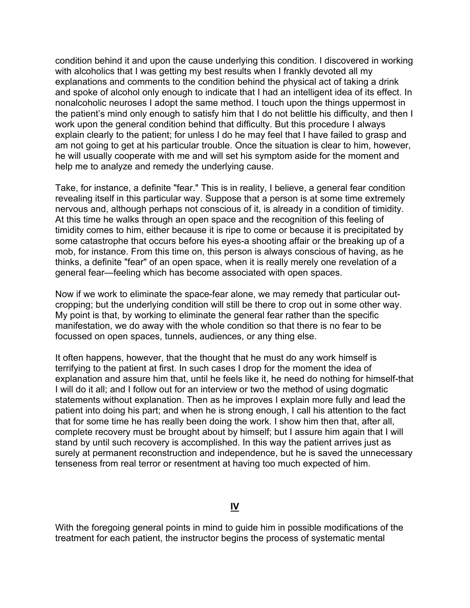condition behind it and upon the cause underlying this condition. I discovered in working with alcoholics that I was getting my best results when I frankly devoted all my explanations and comments to the condition behind the physical act of taking a drink and spoke of alcohol only enough to indicate that I had an intelligent idea of its effect. In nonalcoholic neuroses I adopt the same method. I touch upon the things uppermost in the patient's mind only enough to satisfy him that I do not belittle his difficulty, and then I work upon the general condition behind that difficulty. But this procedure I always explain clearly to the patient; for unless I do he may feel that I have failed to grasp and am not going to get at his particular trouble. Once the situation is clear to him, however, he will usually cooperate with me and will set his symptom aside for the moment and help me to analyze and remedy the underlying cause.

Take, for instance, a definite "fear." This is in reality, I believe, a general fear condition revealing itself in this particular way. Suppose that a person is at some time extremely nervous and, although perhaps not conscious of it, is already in a condition of timidity. At this time he walks through an open space and the recognition of this feeling of timidity comes to him, either because it is ripe to come or because it is precipitated by some catastrophe that occurs before his eyes-a shooting affair or the breaking up of a mob, for instance. From this time on, this person is always conscious of having, as he thinks, a definite "fear" of an open space, when it is really merely one revelation of a general fear—feeling which has become associated with open spaces.

Now if we work to eliminate the space-fear alone, we may remedy that particular outcropping; but the underlying condition will still be there to crop out in some other way. My point is that, by working to eliminate the general fear rather than the specific manifestation, we do away with the whole condition so that there is no fear to be focussed on open spaces, tunnels, audiences, or any thing else.

It often happens, however, that the thought that he must do any work himself is terrifying to the patient at first. In such cases I drop for the moment the idea of explanation and assure him that, until he feels like it, he need do nothing for himself-that I will do it all; and I follow out for an interview or two the method of using dogmatic statements without explanation. Then as he improves I explain more fully and lead the patient into doing his part; and when he is strong enough, I call his attention to the fact that for some time he has really been doing the work. I show him then that, after all, complete recovery must be brought about by himself; but I assure him again that I will stand by until such recovery is accomplished. In this way the patient arrives just as surely at permanent reconstruction and independence, but he is saved the unnecessary tenseness from real terror or resentment at having too much expected of him.

## **IV**

With the foregoing general points in mind to guide him in possible modifications of the treatment for each patient, the instructor begins the process of systematic mental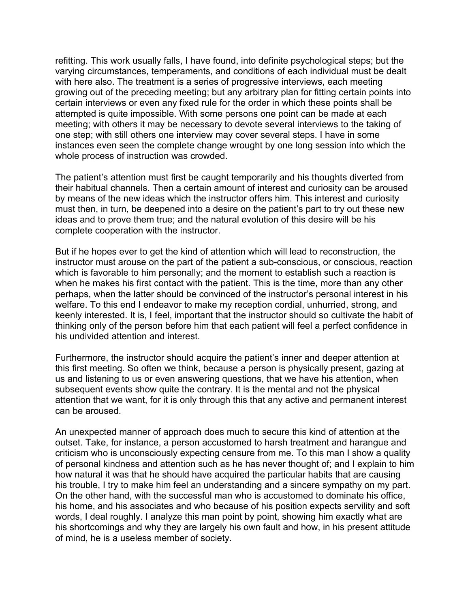refitting. This work usually falls, I have found, into definite psychological steps; but the varying circumstances, temperaments, and conditions of each individual must be dealt with here also. The treatment is a series of progressive interviews, each meeting growing out of the preceding meeting; but any arbitrary plan for fitting certain points into certain interviews or even any fixed rule for the order in which these points shall be attempted is quite impossible. With some persons one point can be made at each meeting; with others it may be necessary to devote several interviews to the taking of one step; with still others one interview may cover several steps. I have in some instances even seen the complete change wrought by one long session into which the whole process of instruction was crowded.

The patient's attention must first be caught temporarily and his thoughts diverted from their habitual channels. Then a certain amount of interest and curiosity can be aroused by means of the new ideas which the instructor offers him. This interest and curiosity must then, in turn, be deepened into a desire on the patient's part to try out these new ideas and to prove them true; and the natural evolution of this desire will be his complete cooperation with the instructor.

But if he hopes ever to get the kind of attention which will lead to reconstruction, the instructor must arouse on the part of the patient a sub-conscious, or conscious, reaction which is favorable to him personally; and the moment to establish such a reaction is when he makes his first contact with the patient. This is the time, more than any other perhaps, when the latter should be convinced of the instructor's personal interest in his welfare. To this end I endeavor to make my reception cordial, unhurried, strong, and keenly interested. It is, I feel, important that the instructor should so cultivate the habit of thinking only of the person before him that each patient will feel a perfect confidence in his undivided attention and interest.

Furthermore, the instructor should acquire the patient's inner and deeper attention at this first meeting. So often we think, because a person is physically present, gazing at us and listening to us or even answering questions, that we have his attention, when subsequent events show quite the contrary. It is the mental and not the physical attention that we want, for it is only through this that any active and permanent interest can be aroused.

An unexpected manner of approach does much to secure this kind of attention at the outset. Take, for instance, a person accustomed to harsh treatment and harangue and criticism who is unconsciously expecting censure from me. To this man I show a quality of personal kindness and attention such as he has never thought of; and I explain to him how natural it was that he should have acquired the particular habits that are causing his trouble, I try to make him feel an understanding and a sincere sympathy on my part. On the other hand, with the successful man who is accustomed to dominate his office, his home, and his associates and who because of his position expects servility and soft words, I deal roughly. I analyze this man point by point, showing him exactly what are his shortcomings and why they are largely his own fault and how, in his present attitude of mind, he is a useless member of society.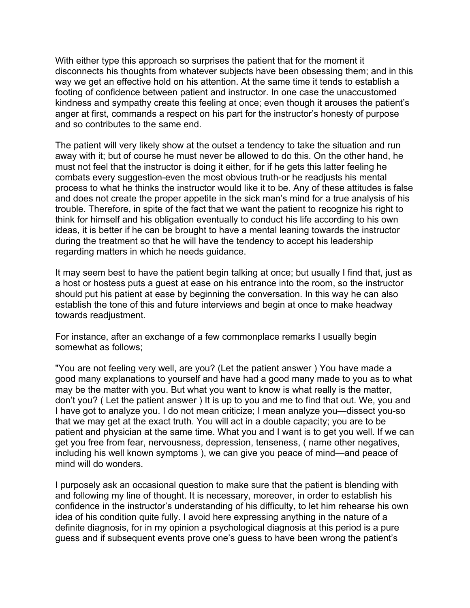With either type this approach so surprises the patient that for the moment it disconnects his thoughts from whatever subjects have been obsessing them; and in this way we get an effective hold on his attention. At the same time it tends to establish a footing of confidence between patient and instructor. In one case the unaccustomed kindness and sympathy create this feeling at once; even though it arouses the patient's anger at first, commands a respect on his part for the instructor's honesty of purpose and so contributes to the same end.

The patient will very likely show at the outset a tendency to take the situation and run away with it; but of course he must never be allowed to do this. On the other hand, he must not feel that the instructor is doing it either, for if he gets this latter feeling he combats every suggestion-even the most obvious truth-or he readjusts his mental process to what he thinks the instructor would like it to be. Any of these attitudes is false and does not create the proper appetite in the sick man's mind for a true analysis of his trouble. Therefore, in spite of the fact that we want the patient to recognize his right to think for himself and his obligation eventually to conduct his life according to his own ideas, it is better if he can be brought to have a mental leaning towards the instructor during the treatment so that he will have the tendency to accept his leadership regarding matters in which he needs guidance.

It may seem best to have the patient begin talking at once; but usually I find that, just as a host or hostess puts a guest at ease on his entrance into the room, so the instructor should put his patient at ease by beginning the conversation. In this way he can also establish the tone of this and future interviews and begin at once to make headway towards readjustment.

For instance, after an exchange of a few commonplace remarks I usually begin somewhat as follows;

"You are not feeling very well, are you? (Let the patient answer ) You have made a good many explanations to yourself and have had a good many made to you as to what may be the matter with you. But what you want to know is what really is the matter, don't you? ( Let the patient answer ) It is up to you and me to find that out. We, you and I have got to analyze you. I do not mean criticize; I mean analyze you—dissect you-so that we may get at the exact truth. You will act in a double capacity; you are to be patient and physician at the same time. What you and I want is to get you well. If we can get you free from fear, nervousness, depression, tenseness, ( name other negatives, including his well known symptoms ), we can give you peace of mind—and peace of mind will do wonders.

I purposely ask an occasional question to make sure that the patient is blending with and following my line of thought. It is necessary, moreover, in order to establish his confidence in the instructor's understanding of his difficulty, to let him rehearse his own idea of his condition quite fully. I avoid here expressing anything in the nature of a definite diagnosis, for in my opinion a psychological diagnosis at this period is a pure guess and if subsequent events prove one's guess to have been wrong the patient's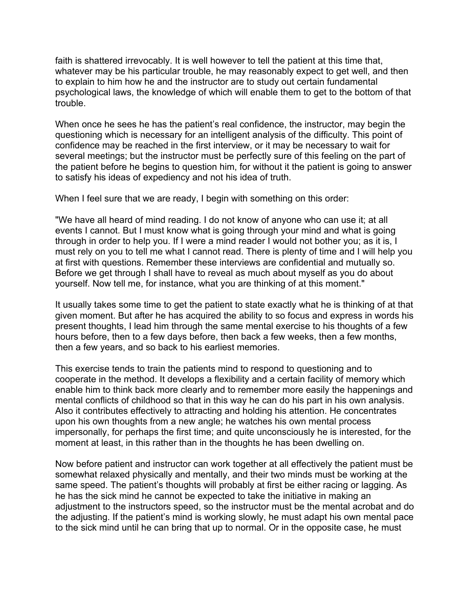faith is shattered irrevocably. It is well however to tell the patient at this time that, whatever may be his particular trouble, he may reasonably expect to get well, and then to explain to him how he and the instructor are to study out certain fundamental psychological laws, the knowledge of which will enable them to get to the bottom of that trouble.

When once he sees he has the patient's real confidence, the instructor, may begin the questioning which is necessary for an intelligent analysis of the difficulty. This point of confidence may be reached in the first interview, or it may be necessary to wait for several meetings; but the instructor must be perfectly sure of this feeling on the part of the patient before he begins to question him, for without it the patient is going to answer to satisfy his ideas of expediency and not his idea of truth.

When I feel sure that we are ready, I begin with something on this order:

"We have all heard of mind reading. I do not know of anyone who can use it; at all events I cannot. But I must know what is going through your mind and what is going through in order to help you. If I were a mind reader I would not bother you; as it is, I must rely on you to tell me what I cannot read. There is plenty of time and I will help you at first with questions. Remember these interviews are confidential and mutually so. Before we get through I shall have to reveal as much about myself as you do about yourself. Now tell me, for instance, what you are thinking of at this moment."

It usually takes some time to get the patient to state exactly what he is thinking of at that given moment. But after he has acquired the ability to so focus and express in words his present thoughts, I lead him through the same mental exercise to his thoughts of a few hours before, then to a few days before, then back a few weeks, then a few months, then a few years, and so back to his earliest memories.

This exercise tends to train the patients mind to respond to questioning and to cooperate in the method. It develops a flexibility and a certain facility of memory which enable him to think back more clearly and to remember more easily the happenings and mental conflicts of childhood so that in this way he can do his part in his own analysis. Also it contributes effectively to attracting and holding his attention. He concentrates upon his own thoughts from a new angle; he watches his own mental process impersonally, for perhaps the first time; and quite unconsciously he is interested, for the moment at least, in this rather than in the thoughts he has been dwelling on.

Now before patient and instructor can work together at all effectively the patient must be somewhat relaxed physically and mentally, and their two minds must be working at the same speed. The patient's thoughts will probably at first be either racing or lagging. As he has the sick mind he cannot be expected to take the initiative in making an adjustment to the instructors speed, so the instructor must be the mental acrobat and do the adjusting. If the patient's mind is working slowly, he must adapt his own mental pace to the sick mind until he can bring that up to normal. Or in the opposite case, he must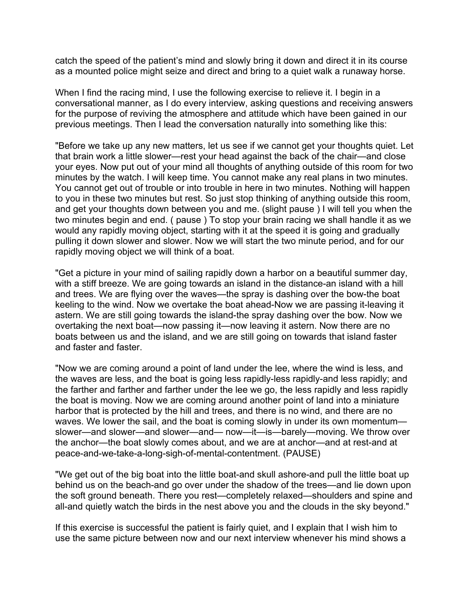catch the speed of the patient's mind and slowly bring it down and direct it in its course as a mounted police might seize and direct and bring to a quiet walk a runaway horse.

When I find the racing mind, I use the following exercise to relieve it. I begin in a conversational manner, as I do every interview, asking questions and receiving answers for the purpose of reviving the atmosphere and attitude which have been gained in our previous meetings. Then I lead the conversation naturally into something like this:

"Before we take up any new matters, let us see if we cannot get your thoughts quiet. Let that brain work a little slower—rest your head against the back of the chair—and close your eyes. Now put out of your mind all thoughts of anything outside of this room for two minutes by the watch. I will keep time. You cannot make any real plans in two minutes. You cannot get out of trouble or into trouble in here in two minutes. Nothing will happen to you in these two minutes but rest. So just stop thinking of anything outside this room, and get your thoughts down between you and me. (slight pause ) I will tell you when the two minutes begin and end. ( pause ) To stop your brain racing we shall handle it as we would any rapidly moving object, starting with it at the speed it is going and gradually pulling it down slower and slower. Now we will start the two minute period, and for our rapidly moving object we will think of a boat.

"Get a picture in your mind of sailing rapidly down a harbor on a beautiful summer day, with a stiff breeze. We are going towards an island in the distance-an island with a hill and trees. We are flying over the waves—the spray is dashing over the bow-the boat keeling to the wind. Now we overtake the boat ahead-Now we are passing it-leaving it astern. We are still going towards the island-the spray dashing over the bow. Now we overtaking the next boat—now passing it—now leaving it astern. Now there are no boats between us and the island, and we are still going on towards that island faster and faster and faster.

"Now we are coming around a point of land under the lee, where the wind is less, and the waves are less, and the boat is going less rapidly-less rapidly-and less rapidly; and the farther and farther and farther under the lee we go, the less rapidly and less rapidly the boat is moving. Now we are coming around another point of land into a miniature harbor that is protected by the hill and trees, and there is no wind, and there are no waves. We lower the sail, and the boat is coming slowly in under its own momentum slower—and slower—and slower—and— now—it—is—barely—moving. We throw over the anchor—the boat slowly comes about, and we are at anchor—and at rest-and at peace-and-we-take-a-long-sigh-of-mental-contentment. (PAUSE)

"We get out of the big boat into the little boat-and skull ashore-and pull the little boat up behind us on the beach-and go over under the shadow of the trees—and lie down upon the soft ground beneath. There you rest—completely relaxed—shoulders and spine and all-and quietly watch the birds in the nest above you and the clouds in the sky beyond."

If this exercise is successful the patient is fairly quiet, and I explain that I wish him to use the same picture between now and our next interview whenever his mind shows a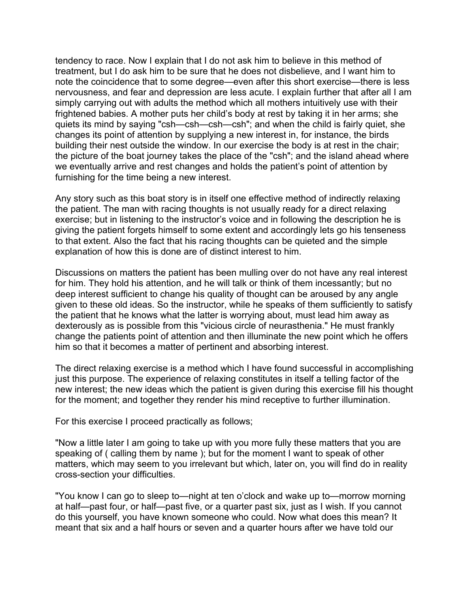tendency to race. Now I explain that I do not ask him to believe in this method of treatment, but I do ask him to be sure that he does not disbelieve, and I want him to note the coincidence that to some degree—even after this short exercise—there is less nervousness, and fear and depression are less acute. I explain further that after all I am simply carrying out with adults the method which all mothers intuitively use with their frightened babies. A mother puts her child's body at rest by taking it in her arms; she quiets its mind by saying "csh—csh—csh—csh"; and when the child is fairly quiet, she changes its point of attention by supplying a new interest in, for instance, the birds building their nest outside the window. In our exercise the body is at rest in the chair; the picture of the boat journey takes the place of the "csh"; and the island ahead where we eventually arrive and rest changes and holds the patient's point of attention by furnishing for the time being a new interest.

Any story such as this boat story is in itself one effective method of indirectly relaxing the patient. The man with racing thoughts is not usually ready for a direct relaxing exercise; but in listening to the instructor's voice and in following the description he is giving the patient forgets himself to some extent and accordingly lets go his tenseness to that extent. Also the fact that his racing thoughts can be quieted and the simple explanation of how this is done are of distinct interest to him.

Discussions on matters the patient has been mulling over do not have any real interest for him. They hold his attention, and he will talk or think of them incessantly; but no deep interest sufficient to change his quality of thought can be aroused by any angle given to these old ideas. So the instructor, while he speaks of them sufficiently to satisfy the patient that he knows what the latter is worrying about, must lead him away as dexterously as is possible from this "vicious circle of neurasthenia." He must frankly change the patients point of attention and then illuminate the new point which he offers him so that it becomes a matter of pertinent and absorbing interest.

The direct relaxing exercise is a method which I have found successful in accomplishing just this purpose. The experience of relaxing constitutes in itself a telling factor of the new interest; the new ideas which the patient is given during this exercise fill his thought for the moment; and together they render his mind receptive to further illumination.

For this exercise I proceed practically as follows;

"Now a little later I am going to take up with you more fully these matters that you are speaking of ( calling them by name ); but for the moment I want to speak of other matters, which may seem to you irrelevant but which, later on, you will find do in reality cross-section your difficulties.

"You know I can go to sleep to—night at ten o'clock and wake up to—morrow morning at half—past four, or half—past five, or a quarter past six, just as I wish. If you cannot do this yourself, you have known someone who could. Now what does this mean? It meant that six and a half hours or seven and a quarter hours after we have told our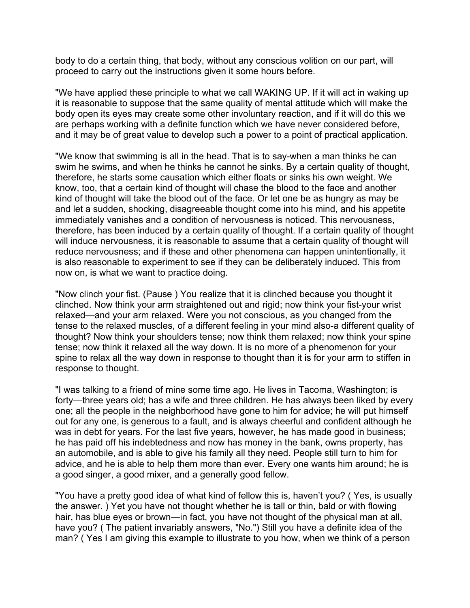body to do a certain thing, that body, without any conscious volition on our part, will proceed to carry out the instructions given it some hours before.

"We have applied these principle to what we call WAKING UP. If it will act in waking up it is reasonable to suppose that the same quality of mental attitude which will make the body open its eyes may create some other involuntary reaction, and if it will do this we are perhaps working with a definite function which we have never considered before, and it may be of great value to develop such a power to a point of practical application.

"We know that swimming is all in the head. That is to say-when a man thinks he can swim he swims, and when he thinks he cannot he sinks. By a certain quality of thought, therefore, he starts some causation which either floats or sinks his own weight. We know, too, that a certain kind of thought will chase the blood to the face and another kind of thought will take the blood out of the face. Or let one be as hungry as may be and let a sudden, shocking, disagreeable thought come into his mind, and his appetite immediately vanishes and a condition of nervousness is noticed. This nervousness, therefore, has been induced by a certain quality of thought. If a certain quality of thought will induce nervousness, it is reasonable to assume that a certain quality of thought will reduce nervousness; and if these and other phenomena can happen unintentionally, it is also reasonable to experiment to see if they can be deliberately induced. This from now on, is what we want to practice doing.

"Now clinch your fist. (Pause ) You realize that it is clinched because you thought it clinched. Now think your arm straightened out and rigid; now think your fist-your wrist relaxed—and your arm relaxed. Were you not conscious, as you changed from the tense to the relaxed muscles, of a different feeling in your mind also-a different quality of thought? Now think your shoulders tense; now think them relaxed; now think your spine tense; now think it relaxed all the way down. It is no more of a phenomenon for your spine to relax all the way down in response to thought than it is for your arm to stiffen in response to thought.

"I was talking to a friend of mine some time ago. He lives in Tacoma, Washington; is forty—three years old; has a wife and three children. He has always been liked by every one; all the people in the neighborhood have gone to him for advice; he will put himself out for any one, is generous to a fault, and is always cheerful and confident although he was in debt for years. For the last five years, however, he has made good in business; he has paid off his indebtedness and now has money in the bank, owns property, has an automobile, and is able to give his family all they need. People still turn to him for advice, and he is able to help them more than ever. Every one wants him around; he is a good singer, a good mixer, and a generally good fellow.

"You have a pretty good idea of what kind of fellow this is, haven't you? ( Yes, is usually the answer. ) Yet you have not thought whether he is tall or thin, bald or with flowing hair, has blue eyes or brown—in fact, you have not thought of the physical man at all, have you? ( The patient invariably answers, "No.") Still you have a definite idea of the man? ( Yes I am giving this example to illustrate to you how, when we think of a person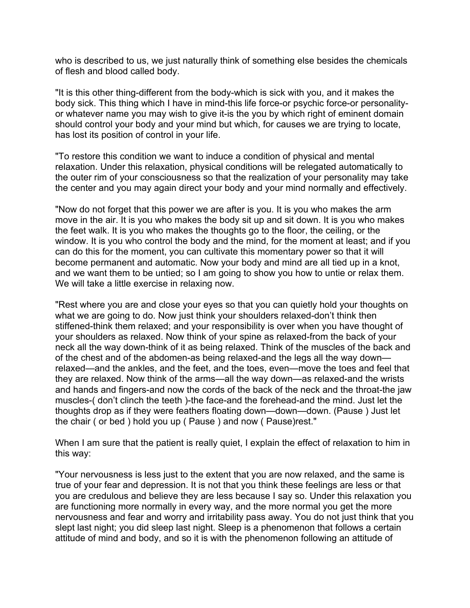who is described to us, we just naturally think of something else besides the chemicals of flesh and blood called body.

"It is this other thing-different from the body-which is sick with you, and it makes the body sick. This thing which I have in mind-this life force-or psychic force-or personalityor whatever name you may wish to give it-is the you by which right of eminent domain should control your body and your mind but which, for causes we are trying to locate, has lost its position of control in your life.

"To restore this condition we want to induce a condition of physical and mental relaxation. Under this relaxation, physical conditions will be relegated automatically to the outer rim of your consciousness so that the realization of your personality may take the center and you may again direct your body and your mind normally and effectively.

"Now do not forget that this power we are after is you. It is you who makes the arm move in the air. It is you who makes the body sit up and sit down. It is you who makes the feet walk. It is you who makes the thoughts go to the floor, the ceiling, or the window. It is you who control the body and the mind, for the moment at least; and if you can do this for the moment, you can cultivate this momentary power so that it will become permanent and automatic. Now your body and mind are all tied up in a knot, and we want them to be untied; so I am going to show you how to untie or relax them. We will take a little exercise in relaxing now.

"Rest where you are and close your eyes so that you can quietly hold your thoughts on what we are going to do. Now just think your shoulders relaxed-don't think then stiffened-think them relaxed; and your responsibility is over when you have thought of your shoulders as relaxed. Now think of your spine as relaxed-from the back of your neck all the way down-think of it as being relaxed. Think of the muscles of the back and of the chest and of the abdomen-as being relaxed-and the legs all the way down relaxed—and the ankles, and the feet, and the toes, even—move the toes and feel that they are relaxed. Now think of the arms—all the way down—as relaxed-and the wrists and hands and fingers-and now the cords of the back of the neck and the throat-the jaw muscles-( don't clinch the teeth )-the face-and the forehead-and the mind. Just let the thoughts drop as if they were feathers floating down—down—down. (Pause ) Just let the chair ( or bed ) hold you up ( Pause ) and now ( Pause)rest."

When I am sure that the patient is really quiet, I explain the effect of relaxation to him in this way:

"Your nervousness is less just to the extent that you are now relaxed, and the same is true of your fear and depression. It is not that you think these feelings are less or that you are credulous and believe they are less because I say so. Under this relaxation you are functioning more normally in every way, and the more normal you get the more nervousness and fear and worry and irritability pass away. You do not just think that you slept last night; you did sleep last night. Sleep is a phenomenon that follows a certain attitude of mind and body, and so it is with the phenomenon following an attitude of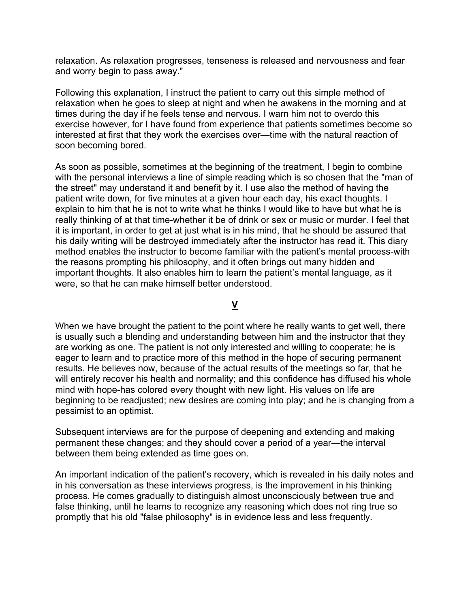relaxation. As relaxation progresses, tenseness is released and nervousness and fear and worry begin to pass away."

Following this explanation, I instruct the patient to carry out this simple method of relaxation when he goes to sleep at night and when he awakens in the morning and at times during the day if he feels tense and nervous. I warn him not to overdo this exercise however, for I have found from experience that patients sometimes become so interested at first that they work the exercises over—time with the natural reaction of soon becoming bored.

As soon as possible, sometimes at the beginning of the treatment, I begin to combine with the personal interviews a line of simple reading which is so chosen that the "man of the street" may understand it and benefit by it. I use also the method of having the patient write down, for five minutes at a given hour each day, his exact thoughts. I explain to him that he is not to write what he thinks I would like to have but what he is really thinking of at that time-whether it be of drink or sex or music or murder. I feel that it is important, in order to get at just what is in his mind, that he should be assured that his daily writing will be destroyed immediately after the instructor has read it. This diary method enables the instructor to become familiar with the patient's mental process-with the reasons prompting his philosophy, and it often brings out many hidden and important thoughts. It also enables him to learn the patient's mental language, as it were, so that he can make himself better understood.

**V**

When we have brought the patient to the point where he really wants to get well, there is usually such a blending and understanding between him and the instructor that they are working as one. The patient is not only interested and willing to cooperate; he is eager to learn and to practice more of this method in the hope of securing permanent results. He believes now, because of the actual results of the meetings so far, that he will entirely recover his health and normality; and this confidence has diffused his whole mind with hope-has colored every thought with new light. His values on life are beginning to be readjusted; new desires are coming into play; and he is changing from a pessimist to an optimist.

Subsequent interviews are for the purpose of deepening and extending and making permanent these changes; and they should cover a period of a year—the interval between them being extended as time goes on.

An important indication of the patient's recovery, which is revealed in his daily notes and in his conversation as these interviews progress, is the improvement in his thinking process. He comes gradually to distinguish almost unconsciously between true and false thinking, until he learns to recognize any reasoning which does not ring true so promptly that his old "false philosophy" is in evidence less and less frequently.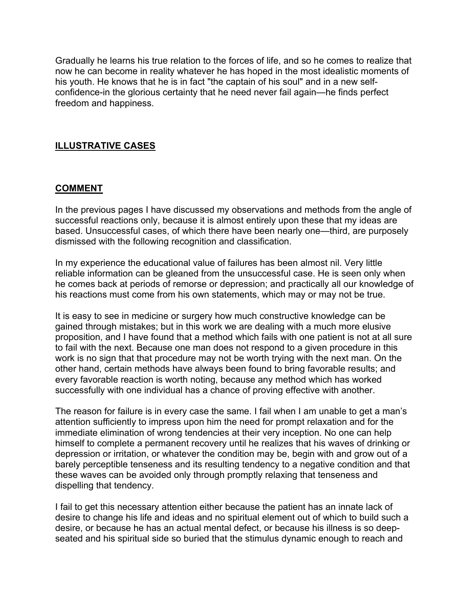Gradually he learns his true relation to the forces of life, and so he comes to realize that now he can become in reality whatever he has hoped in the most idealistic moments of his youth. He knows that he is in fact "the captain of his soul" and in a new selfconfidence-in the glorious certainty that he need never fail again—he finds perfect freedom and happiness.

## **ILLUSTRATIVE CASES**

### **COMMENT**

In the previous pages I have discussed my observations and methods from the angle of successful reactions only, because it is almost entirely upon these that my ideas are based. Unsuccessful cases, of which there have been nearly one—third, are purposely dismissed with the following recognition and classification.

In my experience the educational value of failures has been almost nil. Very little reliable information can be gleaned from the unsuccessful case. He is seen only when he comes back at periods of remorse or depression; and practically all our knowledge of his reactions must come from his own statements, which may or may not be true.

It is easy to see in medicine or surgery how much constructive knowledge can be gained through mistakes; but in this work we are dealing with a much more elusive proposition, and I have found that a method which fails with one patient is not at all sure to fail with the next. Because one man does not respond to a given procedure in this work is no sign that that procedure may not be worth trying with the next man. On the other hand, certain methods have always been found to bring favorable results; and every favorable reaction is worth noting, because any method which has worked successfully with one individual has a chance of proving effective with another.

The reason for failure is in every case the same. I fail when I am unable to get a man's attention sufficiently to impress upon him the need for prompt relaxation and for the immediate elimination of wrong tendencies at their very inception. No one can help himself to complete a permanent recovery until he realizes that his waves of drinking or depression or irritation, or whatever the condition may be, begin with and grow out of a barely perceptible tenseness and its resulting tendency to a negative condition and that these waves can be avoided only through promptly relaxing that tenseness and dispelling that tendency.

I fail to get this necessary attention either because the patient has an innate lack of desire to change his life and ideas and no spiritual element out of which to build such a desire, or because he has an actual mental defect, or because his illness is so deepseated and his spiritual side so buried that the stimulus dynamic enough to reach and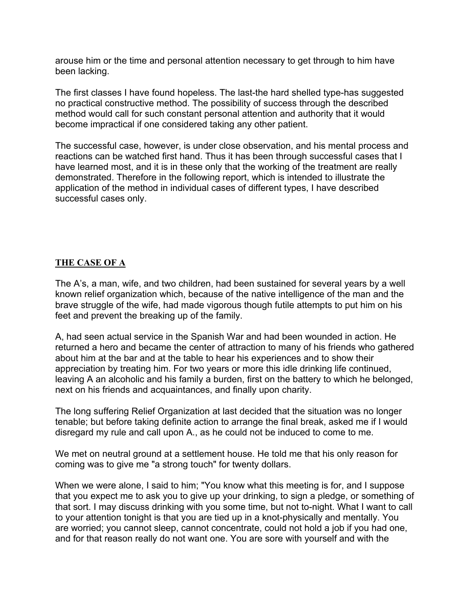arouse him or the time and personal attention necessary to get through to him have been lacking.

The first classes I have found hopeless. The last-the hard shelled type-has suggested no practical constructive method. The possibility of success through the described method would call for such constant personal attention and authority that it would become impractical if one considered taking any other patient.

The successful case, however, is under close observation, and his mental process and reactions can be watched first hand. Thus it has been through successful cases that I have learned most, and it is in these only that the working of the treatment are really demonstrated. Therefore in the following report, which is intended to illustrate the application of the method in individual cases of different types, I have described successful cases only.

## **THE CASE OF A**

The A's, a man, wife, and two children, had been sustained for several years by a well known relief organization which, because of the native intelligence of the man and the brave struggle of the wife, had made vigorous though futile attempts to put him on his feet and prevent the breaking up of the family.

A, had seen actual service in the Spanish War and had been wounded in action. He returned a hero and became the center of attraction to many of his friends who gathered about him at the bar and at the table to hear his experiences and to show their appreciation by treating him. For two years or more this idle drinking life continued, leaving A an alcoholic and his family a burden, first on the battery to which he belonged, next on his friends and acquaintances, and finally upon charity.

The long suffering Relief Organization at last decided that the situation was no longer tenable; but before taking definite action to arrange the final break, asked me if I would disregard my rule and call upon A., as he could not be induced to come to me.

We met on neutral ground at a settlement house. He told me that his only reason for coming was to give me "a strong touch" for twenty dollars.

When we were alone, I said to him; "You know what this meeting is for, and I suppose that you expect me to ask you to give up your drinking, to sign a pledge, or something of that sort. I may discuss drinking with you some time, but not to-night. What I want to call to your attention tonight is that you are tied up in a knot-physically and mentally. You are worried; you cannot sleep, cannot concentrate, could not hold a job if you had one, and for that reason really do not want one. You are sore with yourself and with the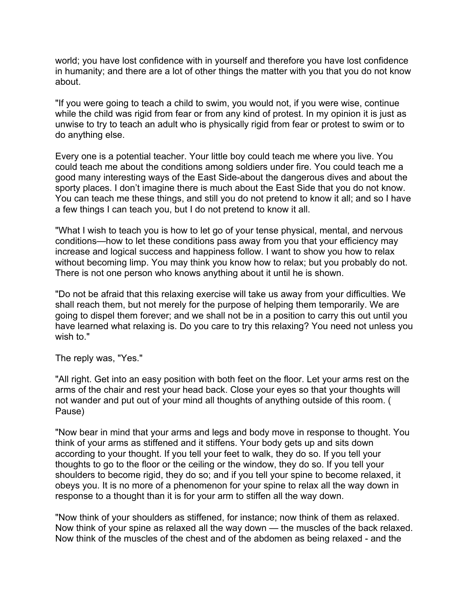world; you have lost confidence with in yourself and therefore you have lost confidence in humanity; and there are a lot of other things the matter with you that you do not know about.

"If you were going to teach a child to swim, you would not, if you were wise, continue while the child was rigid from fear or from any kind of protest. In my opinion it is just as unwise to try to teach an adult who is physically rigid from fear or protest to swim or to do anything else.

Every one is a potential teacher. Your little boy could teach me where you live. You could teach me about the conditions among soldiers under fire. You could teach me a good many interesting ways of the East Side-about the dangerous dives and about the sporty places. I don't imagine there is much about the East Side that you do not know. You can teach me these things, and still you do not pretend to know it all; and so I have a few things I can teach you, but I do not pretend to know it all.

"What I wish to teach you is how to let go of your tense physical, mental, and nervous conditions—how to let these conditions pass away from you that your efficiency may increase and logical success and happiness follow. I want to show you how to relax without becoming limp. You may think you know how to relax; but you probably do not. There is not one person who knows anything about it until he is shown.

"Do not be afraid that this relaxing exercise will take us away from your difficulties. We shall reach them, but not merely for the purpose of helping them temporarily. We are going to dispel them forever; and we shall not be in a position to carry this out until you have learned what relaxing is. Do you care to try this relaxing? You need not unless you wish to."

The reply was, "Yes."

"All right. Get into an easy position with both feet on the floor. Let your arms rest on the arms of the chair and rest your head back. Close your eyes so that your thoughts will not wander and put out of your mind all thoughts of anything outside of this room. ( Pause)

"Now bear in mind that your arms and legs and body move in response to thought. You think of your arms as stiffened and it stiffens. Your body gets up and sits down according to your thought. If you tell your feet to walk, they do so. If you tell your thoughts to go to the floor or the ceiling or the window, they do so. If you tell your shoulders to become rigid, they do so; and if you tell your spine to become relaxed, it obeys you. It is no more of a phenomenon for your spine to relax all the way down in response to a thought than it is for your arm to stiffen all the way down.

"Now think of your shoulders as stiffened, for instance; now think of them as relaxed. Now think of your spine as relaxed all the way down — the muscles of the back relaxed. Now think of the muscles of the chest and of the abdomen as being relaxed - and the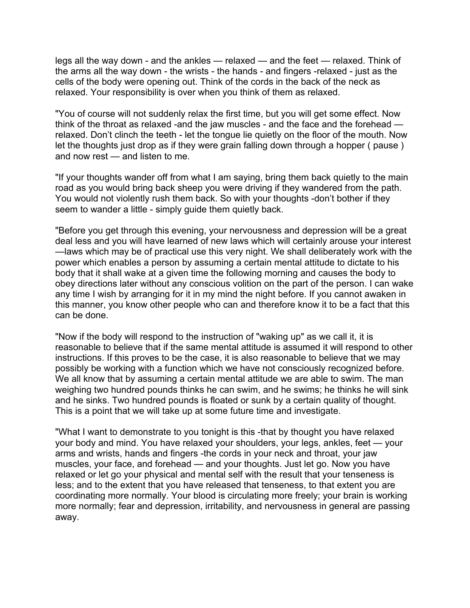legs all the way down - and the ankles — relaxed — and the feet — relaxed. Think of the arms all the way down - the wrists - the hands - and fingers -relaxed - just as the cells of the body were opening out. Think of the cords in the back of the neck as relaxed. Your responsibility is over when you think of them as relaxed.

"You of course will not suddenly relax the first time, but you will get some effect. Now think of the throat as relaxed -and the jaw muscles - and the face and the forehead relaxed. Don't clinch the teeth - let the tongue lie quietly on the floor of the mouth. Now let the thoughts just drop as if they were grain falling down through a hopper ( pause ) and now rest — and listen to me.

"If your thoughts wander off from what I am saying, bring them back quietly to the main road as you would bring back sheep you were driving if they wandered from the path. You would not violently rush them back. So with your thoughts -don't bother if they seem to wander a little - simply guide them quietly back.

"Before you get through this evening, your nervousness and depression will be a great deal less and you will have learned of new laws which will certainly arouse your interest —laws which may be of practical use this very night. We shall deliberately work with the power which enables a person by assuming a certain mental attitude to dictate to his body that it shall wake at a given time the following morning and causes the body to obey directions later without any conscious volition on the part of the person. I can wake any time I wish by arranging for it in my mind the night before. If you cannot awaken in this manner, you know other people who can and therefore know it to be a fact that this can be done.

"Now if the body will respond to the instruction of "waking up" as we call it, it is reasonable to believe that if the same mental attitude is assumed it will respond to other instructions. If this proves to be the case, it is also reasonable to believe that we may possibly be working with a function which we have not consciously recognized before. We all know that by assuming a certain mental attitude we are able to swim. The man weighing two hundred pounds thinks he can swim, and he swims; he thinks he will sink and he sinks. Two hundred pounds is floated or sunk by a certain quality of thought. This is a point that we will take up at some future time and investigate.

"What I want to demonstrate to you tonight is this -that by thought you have relaxed your body and mind. You have relaxed your shoulders, your legs, ankles, feet — your arms and wrists, hands and fingers -the cords in your neck and throat, your jaw muscles, your face, and forehead — and your thoughts. Just let go. Now you have relaxed or let go your physical and mental self with the result that your tenseness is less; and to the extent that you have released that tenseness, to that extent you are coordinating more normally. Your blood is circulating more freely; your brain is working more normally; fear and depression, irritability, and nervousness in general are passing away.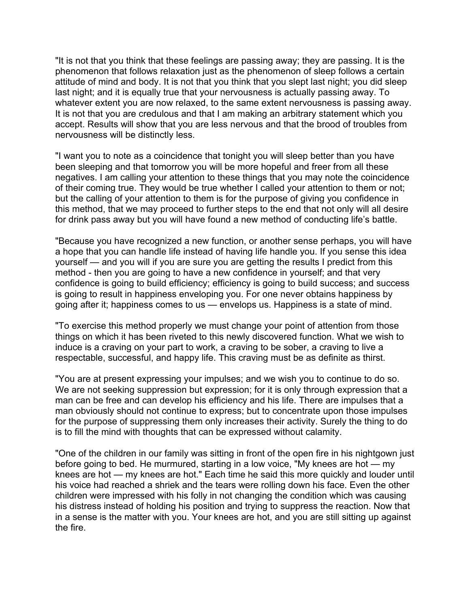"It is not that you think that these feelings are passing away; they are passing. It is the phenomenon that follows relaxation just as the phenomenon of sleep follows a certain attitude of mind and body. It is not that you think that you slept last night; you did sleep last night; and it is equally true that your nervousness is actually passing away. To whatever extent you are now relaxed, to the same extent nervousness is passing away. It is not that you are credulous and that I am making an arbitrary statement which you accept. Results will show that you are less nervous and that the brood of troubles from nervousness will be distinctly less.

"I want you to note as a coincidence that tonight you will sleep better than you have been sleeping and that tomorrow you will be more hopeful and freer from all these negatives. I am calling your attention to these things that you may note the coincidence of their coming true. They would be true whether I called your attention to them or not; but the calling of your attention to them is for the purpose of giving you confidence in this method, that we may proceed to further steps to the end that not only will all desire for drink pass away but you will have found a new method of conducting life's battle.

"Because you have recognized a new function, or another sense perhaps, you will have a hope that you can handle life instead of having life handle you. If you sense this idea yourself — and you will if you are sure you are getting the results I predict from this method - then you are going to have a new confidence in yourself; and that very confidence is going to build efficiency; efficiency is going to build success; and success is going to result in happiness enveloping you. For one never obtains happiness by going after it; happiness comes to us — envelops us. Happiness is a state of mind.

"To exercise this method properly we must change your point of attention from those things on which it has been riveted to this newly discovered function. What we wish to induce is a craving on your part to work, a craving to be sober, a craving to live a respectable, successful, and happy life. This craving must be as definite as thirst.

"You are at present expressing your impulses; and we wish you to continue to do so. We are not seeking suppression but expression; for it is only through expression that a man can be free and can develop his efficiency and his life. There are impulses that a man obviously should not continue to express; but to concentrate upon those impulses for the purpose of suppressing them only increases their activity. Surely the thing to do is to fill the mind with thoughts that can be expressed without calamity.

"One of the children in our family was sitting in front of the open fire in his nightgown just before going to bed. He murmured, starting in a low voice, "My knees are hot — my knees are hot — my knees are hot." Each time he said this more quickly and louder until his voice had reached a shriek and the tears were rolling down his face. Even the other children were impressed with his folly in not changing the condition which was causing his distress instead of holding his position and trying to suppress the reaction. Now that in a sense is the matter with you. Your knees are hot, and you are still sitting up against the fire.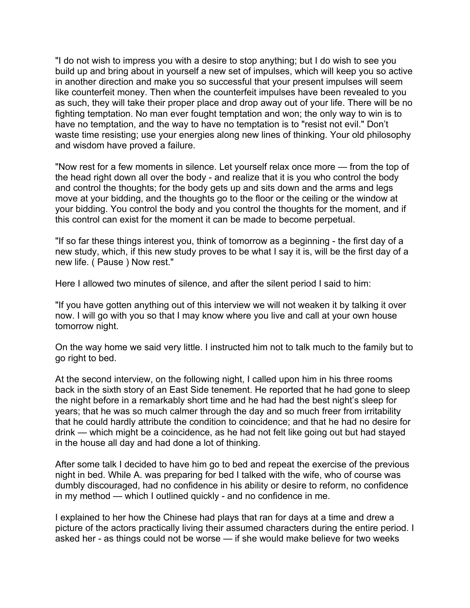"I do not wish to impress you with a desire to stop anything; but I do wish to see you build up and bring about in yourself a new set of impulses, which will keep you so active in another direction and make you so successful that your present impulses will seem like counterfeit money. Then when the counterfeit impulses have been revealed to you as such, they will take their proper place and drop away out of your life. There will be no fighting temptation. No man ever fought temptation and won; the only way to win is to have no temptation, and the way to have no temptation is to "resist not evil." Don't waste time resisting; use your energies along new lines of thinking. Your old philosophy and wisdom have proved a failure.

"Now rest for a few moments in silence. Let yourself relax once more — from the top of the head right down all over the body - and realize that it is you who control the body and control the thoughts; for the body gets up and sits down and the arms and legs move at your bidding, and the thoughts go to the floor or the ceiling or the window at your bidding. You control the body and you control the thoughts for the moment, and if this control can exist for the moment it can be made to become perpetual.

"If so far these things interest you, think of tomorrow as a beginning - the first day of a new study, which, if this new study proves to be what I say it is, will be the first day of a new life. ( Pause ) Now rest."

Here I allowed two minutes of silence, and after the silent period I said to him:

"If you have gotten anything out of this interview we will not weaken it by talking it over now. I will go with you so that I may know where you live and call at your own house tomorrow night.

On the way home we said very little. I instructed him not to talk much to the family but to go right to bed.

At the second interview, on the following night, I called upon him in his three rooms back in the sixth story of an East Side tenement. He reported that he had gone to sleep the night before in a remarkably short time and he had had the best night's sleep for years; that he was so much calmer through the day and so much freer from irritability that he could hardly attribute the condition to coincidence; and that he had no desire for drink — which might be a coincidence, as he had not felt like going out but had stayed in the house all day and had done a lot of thinking.

After some talk I decided to have him go to bed and repeat the exercise of the previous night in bed. While A. was preparing for bed I talked with the wife, who of course was dumbly discouraged, had no confidence in his ability or desire to reform, no confidence in my method — which I outlined quickly - and no confidence in me.

I explained to her how the Chinese had plays that ran for days at a time and drew a picture of the actors practically living their assumed characters during the entire period. I asked her - as things could not be worse — if she would make believe for two weeks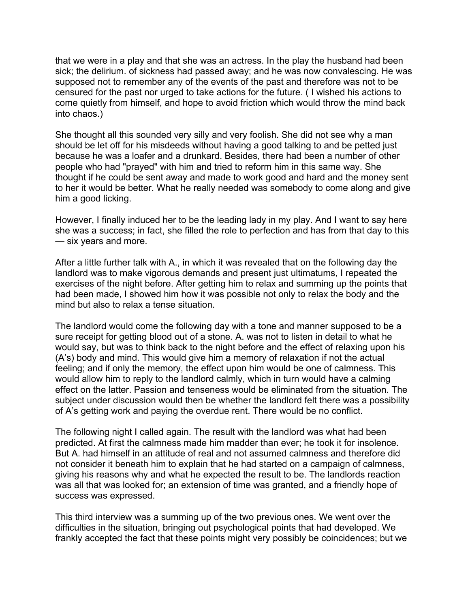that we were in a play and that she was an actress. In the play the husband had been sick; the delirium. of sickness had passed away; and he was now convalescing. He was supposed not to remember any of the events of the past and therefore was not to be censured for the past nor urged to take actions for the future. ( I wished his actions to come quietly from himself, and hope to avoid friction which would throw the mind back into chaos.)

She thought all this sounded very silly and very foolish. She did not see why a man should be let off for his misdeeds without having a good talking to and be petted just because he was a loafer and a drunkard. Besides, there had been a number of other people who had "prayed" with him and tried to reform him in this same way. She thought if he could be sent away and made to work good and hard and the money sent to her it would be better. What he really needed was somebody to come along and give him a good licking.

However, I finally induced her to be the leading lady in my play. And I want to say here she was a success; in fact, she filled the role to perfection and has from that day to this — six years and more.

After a little further talk with A., in which it was revealed that on the following day the landlord was to make vigorous demands and present just ultimatums, I repeated the exercises of the night before. After getting him to relax and summing up the points that had been made, I showed him how it was possible not only to relax the body and the mind but also to relax a tense situation.

The landlord would come the following day with a tone and manner supposed to be a sure receipt for getting blood out of a stone. A. was not to listen in detail to what he would say, but was to think back to the night before and the effect of relaxing upon his (A's) body and mind. This would give him a memory of relaxation if not the actual feeling; and if only the memory, the effect upon him would be one of calmness. This would allow him to reply to the landlord calmly, which in turn would have a calming effect on the latter. Passion and tenseness would be eliminated from the situation. The subject under discussion would then be whether the landlord felt there was a possibility of A's getting work and paying the overdue rent. There would be no conflict.

The following night I called again. The result with the landlord was what had been predicted. At first the calmness made him madder than ever; he took it for insolence. But A. had himself in an attitude of real and not assumed calmness and therefore did not consider it beneath him to explain that he had started on a campaign of calmness, giving his reasons why and what he expected the result to be. The landlords reaction was all that was looked for; an extension of time was granted, and a friendly hope of success was expressed.

This third interview was a summing up of the two previous ones. We went over the difficulties in the situation, bringing out psychological points that had developed. We frankly accepted the fact that these points might very possibly be coincidences; but we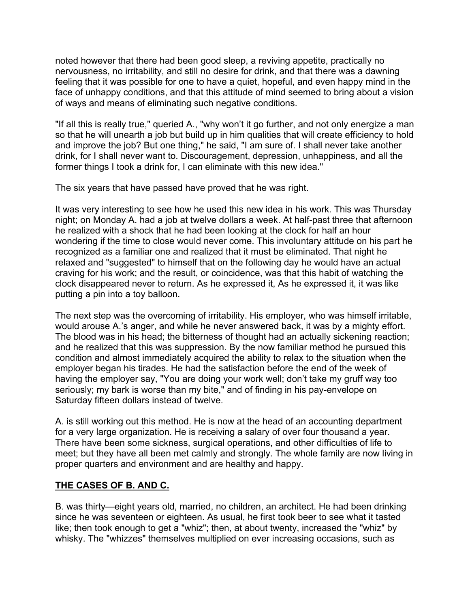noted however that there had been good sleep, a reviving appetite, practically no nervousness, no irritability, and still no desire for drink, and that there was a dawning feeling that it was possible for one to have a quiet, hopeful, and even happy mind in the face of unhappy conditions, and that this attitude of mind seemed to bring about a vision of ways and means of eliminating such negative conditions.

"If all this is really true," queried A., "why won't it go further, and not only energize a man so that he will unearth a job but build up in him qualities that will create efficiency to hold and improve the job? But one thing," he said, "I am sure of. I shall never take another drink, for I shall never want to. Discouragement, depression, unhappiness, and all the former things I took a drink for, I can eliminate with this new idea."

The six years that have passed have proved that he was right.

It was very interesting to see how he used this new idea in his work. This was Thursday night; on Monday A. had a job at twelve dollars a week. At half-past three that afternoon he realized with a shock that he had been looking at the clock for half an hour wondering if the time to close would never come. This involuntary attitude on his part he recognized as a familiar one and realized that it must be eliminated. That night he relaxed and "suggested" to himself that on the following day he would have an actual craving for his work; and the result, or coincidence, was that this habit of watching the clock disappeared never to return. As he expressed it, As he expressed it, it was like putting a pin into a toy balloon.

The next step was the overcoming of irritability. His employer, who was himself irritable, would arouse A.'s anger, and while he never answered back, it was by a mighty effort. The blood was in his head; the bitterness of thought had an actually sickening reaction; and he realized that this was suppression. By the now familiar method he pursued this condition and almost immediately acquired the ability to relax to the situation when the employer began his tirades. He had the satisfaction before the end of the week of having the employer say, "You are doing your work well; don't take my gruff way too seriously; my bark is worse than my bite," and of finding in his pay-envelope on Saturday fifteen dollars instead of twelve.

A. is still working out this method. He is now at the head of an accounting department for a very large organization. He is receiving a salary of over four thousand a year. There have been some sickness, surgical operations, and other difficulties of life to meet; but they have all been met calmly and strongly. The whole family are now living in proper quarters and environment and are healthy and happy.

# **THE CASES OF B. AND C.**

B. was thirty—eight years old, married, no children, an architect. He had been drinking since he was seventeen or eighteen. As usual, he first took beer to see what it tasted like; then took enough to get a "whiz"; then, at about twenty, increased the "whiz" by whisky. The "whizzes" themselves multiplied on ever increasing occasions, such as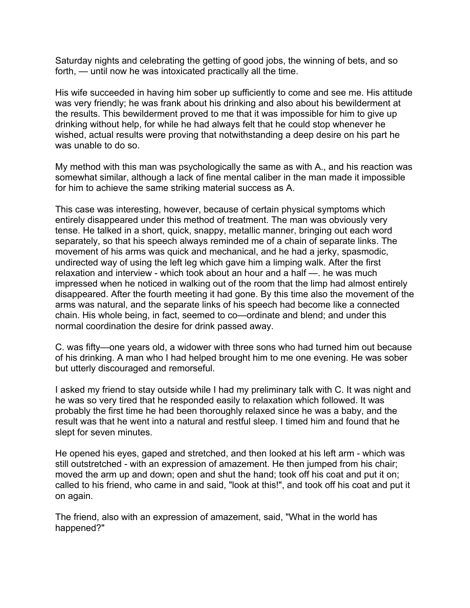Saturday nights and celebrating the getting of good jobs, the winning of bets, and so forth, — until now he was intoxicated practically all the time.

His wife succeeded in having him sober up sufficiently to come and see me. His attitude was very friendly; he was frank about his drinking and also about his bewilderment at the results. This bewilderment proved to me that it was impossible for him to give up drinking without help, for while he had always felt that he could stop whenever he wished, actual results were proving that notwithstanding a deep desire on his part he was unable to do so.

My method with this man was psychologically the same as with A., and his reaction was somewhat similar, although a lack of fine mental caliber in the man made it impossible for him to achieve the same striking material success as A.

This case was interesting, however, because of certain physical symptoms which entirely disappeared under this method of treatment. The man was obviously very tense. He talked in a short, quick, snappy, metallic manner, bringing out each word separately, so that his speech always reminded me of a chain of separate links. The movement of his arms was quick and mechanical, and he had a jerky, spasmodic, undirected way of using the left leg which gave him a limping walk. After the first relaxation and interview - which took about an hour and a half —. he was much impressed when he noticed in walking out of the room that the limp had almost entirely disappeared. After the fourth meeting it had gone. By this time also the movement of the arms was natural, and the separate links of his speech had become like a connected chain. His whole being, in fact, seemed to co—ordinate and blend; and under this normal coordination the desire for drink passed away.

C. was fifty—one years old, a widower with three sons who had turned him out because of his drinking. A man who I had helped brought him to me one evening. He was sober but utterly discouraged and remorseful.

I asked my friend to stay outside while I had my preliminary talk with C. It was night and he was so very tired that he responded easily to relaxation which followed. It was probably the first time he had been thoroughly relaxed since he was a baby, and the result was that he went into a natural and restful sleep. I timed him and found that he slept for seven minutes.

He opened his eyes, gaped and stretched, and then looked at his left arm - which was still outstretched - with an expression of amazement. He then jumped from his chair; moved the arm up and down; open and shut the hand; took off his coat and put it on; called to his friend, who came in and said, "look at this!", and took off his coat and put it on again.

The friend, also with an expression of amazement, said, "What in the world has happened?"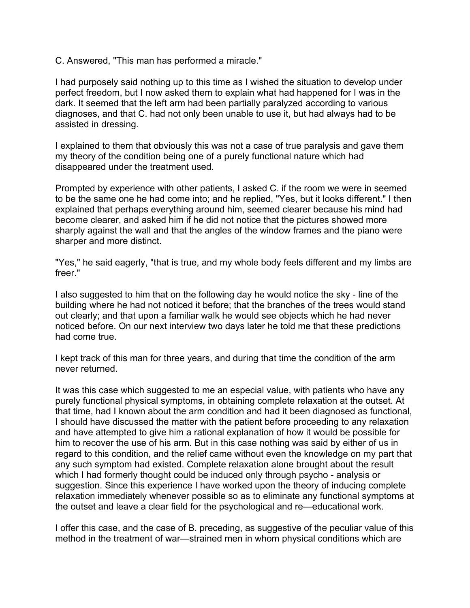C. Answered, "This man has performed a miracle."

I had purposely said nothing up to this time as I wished the situation to develop under perfect freedom, but I now asked them to explain what had happened for I was in the dark. It seemed that the left arm had been partially paralyzed according to various diagnoses, and that C. had not only been unable to use it, but had always had to be assisted in dressing.

I explained to them that obviously this was not a case of true paralysis and gave them my theory of the condition being one of a purely functional nature which had disappeared under the treatment used.

Prompted by experience with other patients, I asked C. if the room we were in seemed to be the same one he had come into; and he replied, "Yes, but it looks different." I then explained that perhaps everything around him, seemed clearer because his mind had become clearer, and asked him if he did not notice that the pictures showed more sharply against the wall and that the angles of the window frames and the piano were sharper and more distinct.

"Yes," he said eagerly, "that is true, and my whole body feels different and my limbs are freer."

I also suggested to him that on the following day he would notice the sky - line of the building where he had not noticed it before; that the branches of the trees would stand out clearly; and that upon a familiar walk he would see objects which he had never noticed before. On our next interview two days later he told me that these predictions had come true.

I kept track of this man for three years, and during that time the condition of the arm never returned.

It was this case which suggested to me an especial value, with patients who have any purely functional physical symptoms, in obtaining complete relaxation at the outset. At that time, had I known about the arm condition and had it been diagnosed as functional, I should have discussed the matter with the patient before proceeding to any relaxation and have attempted to give him a rational explanation of how it would be possible for him to recover the use of his arm. But in this case nothing was said by either of us in regard to this condition, and the relief came without even the knowledge on my part that any such symptom had existed. Complete relaxation alone brought about the result which I had formerly thought could be induced only through psycho - analysis or suggestion. Since this experience I have worked upon the theory of inducing complete relaxation immediately whenever possible so as to eliminate any functional symptoms at the outset and leave a clear field for the psychological and re—educational work.

I offer this case, and the case of B. preceding, as suggestive of the peculiar value of this method in the treatment of war—strained men in whom physical conditions which are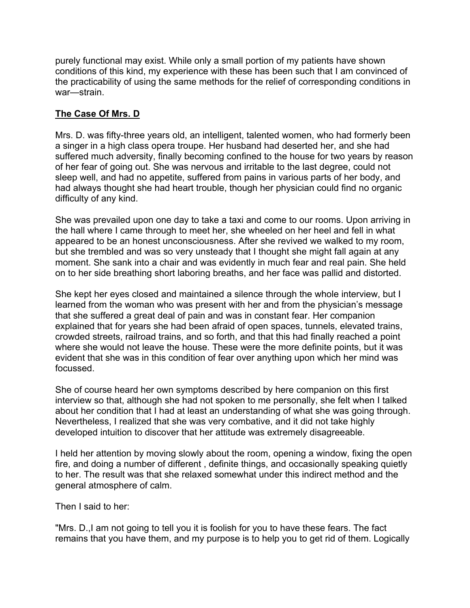purely functional may exist. While only a small portion of my patients have shown conditions of this kind, my experience with these has been such that I am convinced of the practicability of using the same methods for the relief of corresponding conditions in war—strain.

## **The Case Of Mrs. D**

Mrs. D. was fifty-three years old, an intelligent, talented women, who had formerly been a singer in a high class opera troupe. Her husband had deserted her, and she had suffered much adversity, finally becoming confined to the house for two years by reason of her fear of going out. She was nervous and irritable to the last degree, could not sleep well, and had no appetite, suffered from pains in various parts of her body, and had always thought she had heart trouble, though her physician could find no organic difficulty of any kind.

She was prevailed upon one day to take a taxi and come to our rooms. Upon arriving in the hall where I came through to meet her, she wheeled on her heel and fell in what appeared to be an honest unconsciousness. After she revived we walked to my room, but she trembled and was so very unsteady that I thought she might fall again at any moment. She sank into a chair and was evidently in much fear and real pain. She held on to her side breathing short laboring breaths, and her face was pallid and distorted.

She kept her eyes closed and maintained a silence through the whole interview, but I learned from the woman who was present with her and from the physician's message that she suffered a great deal of pain and was in constant fear. Her companion explained that for years she had been afraid of open spaces, tunnels, elevated trains, crowded streets, railroad trains, and so forth, and that this had finally reached a point where she would not leave the house. These were the more definite points, but it was evident that she was in this condition of fear over anything upon which her mind was focussed.

She of course heard her own symptoms described by here companion on this first interview so that, although she had not spoken to me personally, she felt when I talked about her condition that I had at least an understanding of what she was going through. Nevertheless, I realized that she was very combative, and it did not take highly developed intuition to discover that her attitude was extremely disagreeable.

I held her attention by moving slowly about the room, opening a window, fixing the open fire, and doing a number of different , definite things, and occasionally speaking quietly to her. The result was that she relaxed somewhat under this indirect method and the general atmosphere of calm.

Then I said to her:

"Mrs. D.,I am not going to tell you it is foolish for you to have these fears. The fact remains that you have them, and my purpose is to help you to get rid of them. Logically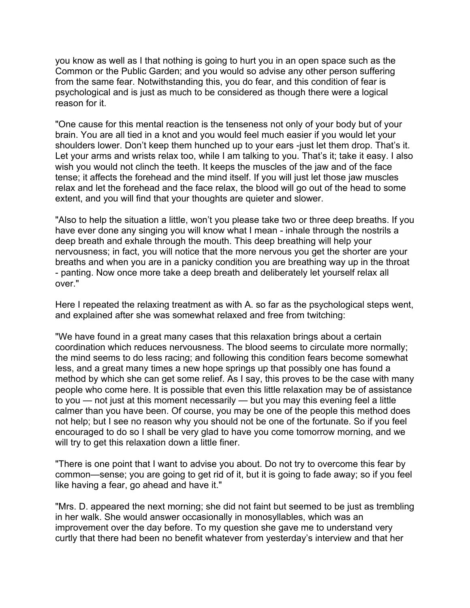you know as well as I that nothing is going to hurt you in an open space such as the Common or the Public Garden; and you would so advise any other person suffering from the same fear. Notwithstanding this, you do fear, and this condition of fear is psychological and is just as much to be considered as though there were a logical reason for it.

"One cause for this mental reaction is the tenseness not only of your body but of your brain. You are all tied in a knot and you would feel much easier if you would let your shoulders lower. Don't keep them hunched up to your ears -just let them drop. That's it. Let your arms and wrists relax too, while I am talking to you. That's it; take it easy. I also wish you would not clinch the teeth. It keeps the muscles of the jaw and of the face tense; it affects the forehead and the mind itself. If you will just let those jaw muscles relax and let the forehead and the face relax, the blood will go out of the head to some extent, and you will find that your thoughts are quieter and slower.

"Also to help the situation a little, won't you please take two or three deep breaths. If you have ever done any singing you will know what I mean - inhale through the nostrils a deep breath and exhale through the mouth. This deep breathing will help your nervousness; in fact, you will notice that the more nervous you get the shorter are your breaths and when you are in a panicky condition you are breathing way up in the throat - panting. Now once more take a deep breath and deliberately let yourself relax all over."

Here I repeated the relaxing treatment as with A. so far as the psychological steps went, and explained after she was somewhat relaxed and free from twitching:

"We have found in a great many cases that this relaxation brings about a certain coordination which reduces nervousness. The blood seems to circulate more normally; the mind seems to do less racing; and following this condition fears become somewhat less, and a great many times a new hope springs up that possibly one has found a method by which she can get some relief. As I say, this proves to be the case with many people who come here. It is possible that even this little relaxation may be of assistance to you — not just at this moment necessarily — but you may this evening feel a little calmer than you have been. Of course, you may be one of the people this method does not help; but I see no reason why you should not be one of the fortunate. So if you feel encouraged to do so I shall be very glad to have you come tomorrow morning, and we will try to get this relaxation down a little finer.

"There is one point that I want to advise you about. Do not try to overcome this fear by common—sense; you are going to get rid of it, but it is going to fade away; so if you feel like having a fear, go ahead and have it."

"Mrs. D. appeared the next morning; she did not faint but seemed to be just as trembling in her walk. She would answer occasionally in monosyllables, which was an improvement over the day before. To my question she gave me to understand very curtly that there had been no benefit whatever from yesterday's interview and that her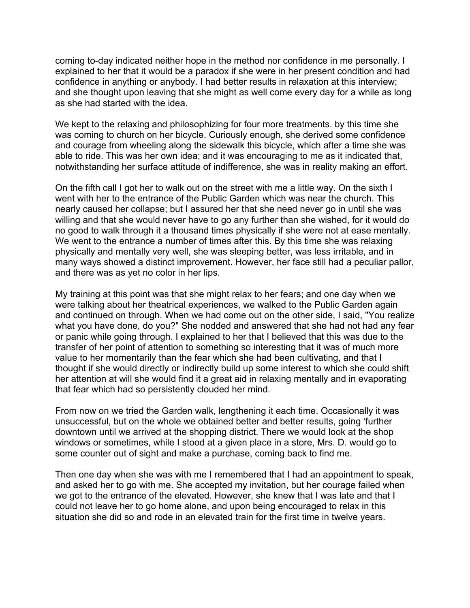coming to-day indicated neither hope in the method nor confidence in me personally. I explained to her that it would be a paradox if she were in her present condition and had confidence in anything or anybody. I had better results in relaxation at this interview; and she thought upon leaving that she might as well come every day for a while as long as she had started with the idea.

We kept to the relaxing and philosophizing for four more treatments. by this time she was coming to church on her bicycle. Curiously enough, she derived some confidence and courage from wheeling along the sidewalk this bicycle, which after a time she was able to ride. This was her own idea; and it was encouraging to me as it indicated that, notwithstanding her surface attitude of indifference, she was in reality making an effort.

On the fifth call I got her to walk out on the street with me a little way. On the sixth I went with her to the entrance of the Public Garden which was near the church. This nearly caused her collapse; but I assured her that she need never go in until she was willing and that she would never have to go any further than she wished, for it would do no good to walk through it a thousand times physically if she were not at ease mentally. We went to the entrance a number of times after this. By this time she was relaxing physically and mentally very well, she was sleeping better, was less irritable, and in many ways showed a distinct improvement. However, her face still had a peculiar pallor, and there was as yet no color in her lips.

My training at this point was that she might relax to her fears; and one day when we were talking about her theatrical experiences, we walked to the Public Garden again and continued on through. When we had come out on the other side, I said, "You realize what you have done, do you?" She nodded and answered that she had not had any fear or panic while going through. I explained to her that I believed that this was due to the transfer of her point of attention to something so interesting that it was of much more value to her momentarily than the fear which she had been cultivating, and that I thought if she would directly or indirectly build up some interest to which she could shift her attention at will she would find it a great aid in relaxing mentally and in evaporating that fear which had so persistently clouded her mind.

From now on we tried the Garden walk, lengthening it each time. Occasionally it was unsuccessful, but on the whole we obtained better and better results, going 'further downtown until we arrived at the shopping district. There we would look at the shop windows or sometimes, while I stood at a given place in a store, Mrs. D. would go to some counter out of sight and make a purchase, coming back to find me.

Then one day when she was with me I remembered that I had an appointment to speak, and asked her to go with me. She accepted my invitation, but her courage failed when we got to the entrance of the elevated. However, she knew that I was late and that I could not leave her to go home alone, and upon being encouraged to relax in this situation she did so and rode in an elevated train for the first time in twelve years.